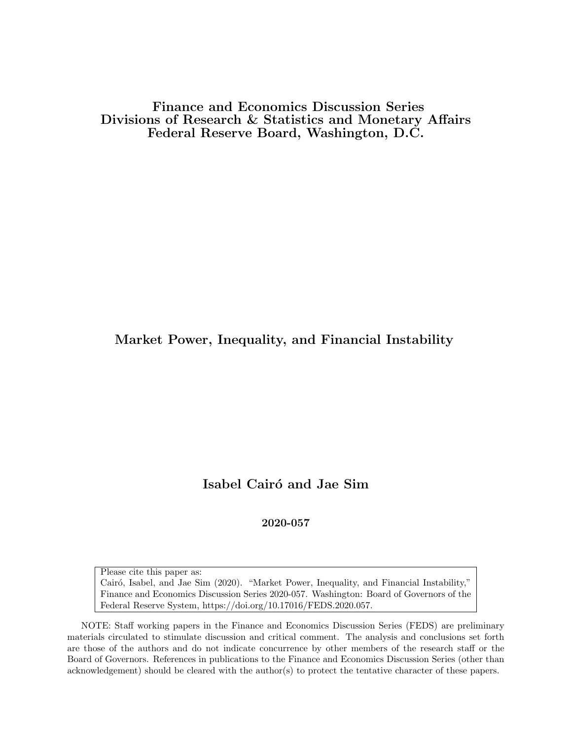Finance and Economics Discussion Series Divisions of Research & Statistics and Monetary Affairs Federal Reserve Board, Washington, D.C.

## Market Power, Inequality, and Financial Instability

# Isabel Cairó and Jae Sim

#### 2020-057

Please cite this paper as: Cairó, Isabel, and Jae Sim (2020). "Market Power, Inequality, and Financial Instability," Finance and Economics Discussion Series 2020-057. Washington: Board of Governors of the Federal Reserve System, https://doi.org/10.17016/FEDS.2020.057.

NOTE: Staff working papers in the Finance and Economics Discussion Series (FEDS) are preliminary materials circulated to stimulate discussion and critical comment. The analysis and conclusions set forth are those of the authors and do not indicate concurrence by other members of the research staff or the Board of Governors. References in publications to the Finance and Economics Discussion Series (other than acknowledgement) should be cleared with the author(s) to protect the tentative character of these papers.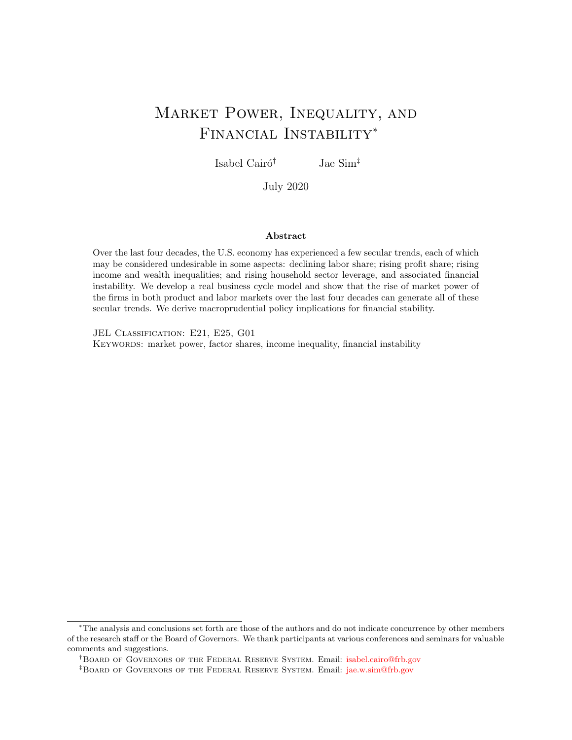# <span id="page-1-0"></span>Market Power, Inequality, and Financial Instability<sup>∗</sup>

Isabel Cairó<sup>†</sup> Jae Sim<sup>‡</sup>

July 2020

#### Abstract

Over the last four decades, the U.S. economy has experienced a few secular trends, each of which may be considered undesirable in some aspects: declining labor share; rising profit share; rising income and wealth inequalities; and rising household sector leverage, and associated financial instability. We develop a real business cycle model and show that the rise of market power of the firms in both product and labor markets over the last four decades can generate all of these secular trends. We derive macroprudential policy implications for financial stability.

JEL CLASSIFICATION: E21, E25, G01

KEYWORDS: market power, factor shares, income inequality, financial instability

<sup>∗</sup>The analysis and conclusions set forth are those of the authors and do not indicate concurrence by other members of the research staff or the Board of Governors. We thank participants at various conferences and seminars for valuable comments and suggestions.

<sup>†</sup>Board of Governors of the Federal Reserve System. Email: [isabel.cairo@frb.gov](mailto:Jae_Sim)

<sup>‡</sup>Board of Governors of the Federal Reserve System. Email: [jae.w.sim@frb.gov](mailto:Jae_Sim)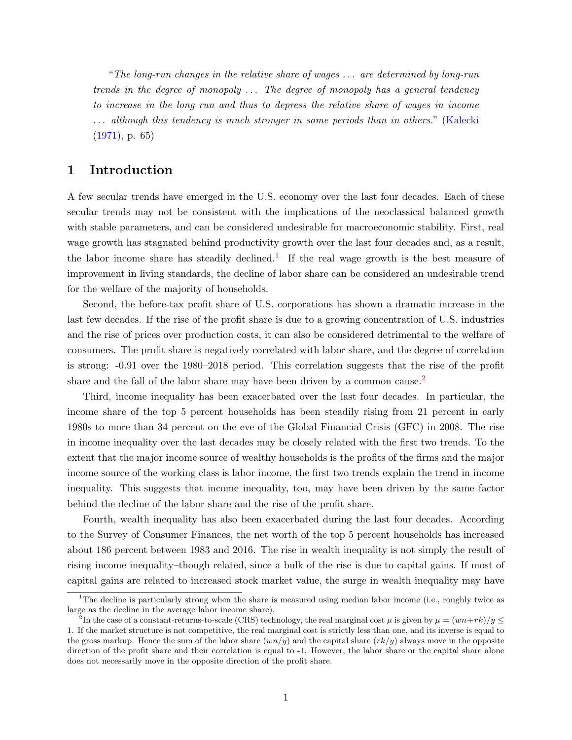"The long-run changes in the relative share of wages . . . are determined by long-run trends in the degree of monopoly . . . The degree of monopoly has a general tendency to increase in the long run and thus to depress the relative share of wages in income  $\ldots$  although this tendency is much stronger in some periods than in others." [\(Kalecki](#page-33-0) [\(1971\)](#page-33-0), p. 65)

### 1 Introduction

A few secular trends have emerged in the U.S. economy over the last four decades. Each of these secular trends may not be consistent with the implications of the neoclassical balanced growth with stable parameters, and can be considered undesirable for macroeconomic stability. First, real wage growth has stagnated behind productivity growth over the last four decades and, as a result, the labor income share has steadily declined.<sup>[1](#page-1-0)</sup> If the real wage growth is the best measure of improvement in living standards, the decline of labor share can be considered an undesirable trend for the welfare of the majority of households.

Second, the before-tax profit share of U.S. corporations has shown a dramatic increase in the last few decades. If the rise of the profit share is due to a growing concentration of U.S. industries and the rise of prices over production costs, it can also be considered detrimental to the welfare of consumers. The profit share is negatively correlated with labor share, and the degree of correlation is strong: -0.91 over the 1980–2018 period. This correlation suggests that the rise of the profit share and the fall of the labor share may have been driven by a common cause.<sup>[2](#page-1-0)</sup>

Third, income inequality has been exacerbated over the last four decades. In particular, the income share of the top 5 percent households has been steadily rising from 21 percent in early 1980s to more than 34 percent on the eve of the Global Financial Crisis (GFC) in 2008. The rise in income inequality over the last decades may be closely related with the first two trends. To the extent that the major income source of wealthy households is the profits of the firms and the major income source of the working class is labor income, the first two trends explain the trend in income inequality. This suggests that income inequality, too, may have been driven by the same factor behind the decline of the labor share and the rise of the profit share.

Fourth, wealth inequality has also been exacerbated during the last four decades. According to the Survey of Consumer Finances, the net worth of the top 5 percent households has increased about 186 percent between 1983 and 2016. The rise in wealth inequality is not simply the result of rising income inequality–though related, since a bulk of the rise is due to capital gains. If most of capital gains are related to increased stock market value, the surge in wealth inequality may have

<sup>&</sup>lt;sup>1</sup>The decline is particularly strong when the share is measured using median labor income (i.e., roughly twice as large as the decline in the average labor income share).

<sup>&</sup>lt;sup>2</sup>In the case of a constant-returns-to-scale (CRS) technology, the real marginal cost  $\mu$  is given by  $\mu = (wn + rk)/y \leq$ 1. If the market structure is not competitive, the real marginal cost is strictly less than one, and its inverse is equal to the gross markup. Hence the sum of the labor share  $(wn/y)$  and the capital share  $(rk/y)$  always move in the opposite direction of the profit share and their correlation is equal to -1. However, the labor share or the capital share alone does not necessarily move in the opposite direction of the profit share.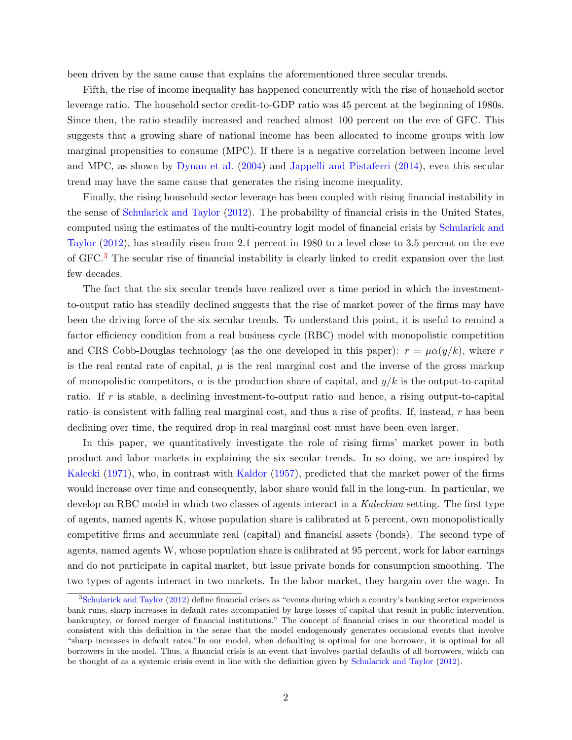been driven by the same cause that explains the aforementioned three secular trends.

Fifth, the rise of income inequality has happened concurrently with the rise of household sector leverage ratio. The household sector credit-to-GDP ratio was 45 percent at the beginning of 1980s. Since then, the ratio steadily increased and reached almost 100 percent on the eve of GFC. This suggests that a growing share of national income has been allocated to income groups with low marginal propensities to consume (MPC). If there is a negative correlation between income level and MPC, as shown by [Dynan et al.](#page-32-0) [\(2004\)](#page-32-0) and [Jappelli and Pistaferri](#page-33-1) [\(2014\)](#page-33-1), even this secular trend may have the same cause that generates the rising income inequality.

Finally, the rising household sector leverage has been coupled with rising financial instability in the sense of [Schularick and Taylor](#page-34-0) [\(2012\)](#page-34-0). The probability of financial crisis in the United States, computed using the estimates of the multi-country logit model of financial crisis by [Schularick and](#page-34-0) [Taylor](#page-34-0) [\(2012\)](#page-34-0), has steadily risen from 2.1 percent in 1980 to a level close to 3.5 percent on the eve of GFC.[3](#page-1-0) The secular rise of financial instability is clearly linked to credit expansion over the last few decades.

The fact that the six secular trends have realized over a time period in which the investmentto-output ratio has steadily declined suggests that the rise of market power of the firms may have been the driving force of the six secular trends. To understand this point, it is useful to remind a factor efficiency condition from a real business cycle (RBC) model with monopolistic competition and CRS Cobb-Douglas technology (as the one developed in this paper):  $r = \mu \alpha(y/k)$ , where r is the real rental rate of capital,  $\mu$  is the real marginal cost and the inverse of the gross markup of monopolistic competitors,  $\alpha$  is the production share of capital, and  $y/k$  is the output-to-capital ratio. If r is stable, a declining investment-to-output ratio–and hence, a rising output-to-capital ratio–is consistent with falling real marginal cost, and thus a rise of profits. If, instead, r has been declining over time, the required drop in real marginal cost must have been even larger.

In this paper, we quantitatively investigate the role of rising firms' market power in both product and labor markets in explaining the six secular trends. In so doing, we are inspired by [Kalecki](#page-33-0) [\(1971\)](#page-33-0), who, in contrast with [Kaldor](#page-33-2) [\(1957\)](#page-33-2), predicted that the market power of the firms would increase over time and consequently, labor share would fall in the long-run. In particular, we develop an RBC model in which two classes of agents interact in a Kaleckian setting. The first type of agents, named agents K, whose population share is calibrated at 5 percent, own monopolistically competitive firms and accumulate real (capital) and financial assets (bonds). The second type of agents, named agents W, whose population share is calibrated at 95 percent, work for labor earnings and do not participate in capital market, but issue private bonds for consumption smoothing. The two types of agents interact in two markets. In the labor market, they bargain over the wage. In

<sup>&</sup>lt;sup>3</sup>[Schularick and Taylor](#page-34-0) [\(2012\)](#page-34-0) define financial crises as "events during which a country's banking sector experiences bank runs, sharp increases in default rates accompanied by large losses of capital that result in public intervention, bankruptcy, or forced merger of financial institutions." The concept of financial crises in our theoretical model is consistent with this definition in the sense that the model endogenously generates occasional events that involve "sharp increases in default rates."In our model, when defaulting is optimal for one borrower, it is optimal for all borrowers in the model. Thus, a financial crisis is an event that involves partial defaults of all borrowers, which can be thought of as a systemic crisis event in line with the definition given by [Schularick and Taylor](#page-34-0) [\(2012\)](#page-34-0).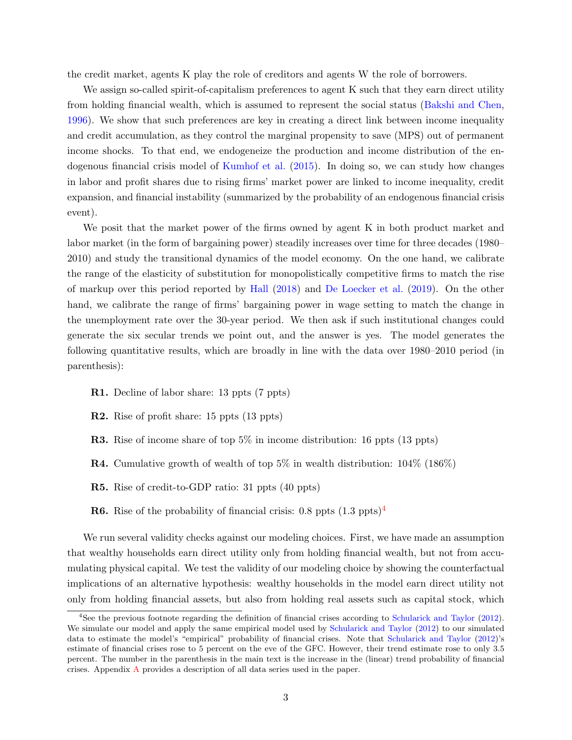the credit market, agents K play the role of creditors and agents W the role of borrowers.

We assign so-called spirit-of-capitalism preferences to agent K such that they earn direct utility from holding financial wealth, which is assumed to represent the social status [\(Bakshi and Chen,](#page-31-0) [1996\)](#page-31-0). We show that such preferences are key in creating a direct link between income inequality and credit accumulation, as they control the marginal propensity to save (MPS) out of permanent income shocks. To that end, we endogeneize the production and income distribution of the endogenous financial crisis model of [Kumhof et al.](#page-33-3) [\(2015\)](#page-33-3). In doing so, we can study how changes in labor and profit shares due to rising firms' market power are linked to income inequality, credit expansion, and financial instability (summarized by the probability of an endogenous financial crisis event).

We posit that the market power of the firms owned by agent K in both product market and labor market (in the form of bargaining power) steadily increases over time for three decades (1980– 2010) and study the transitional dynamics of the model economy. On the one hand, we calibrate the range of the elasticity of substitution for monopolistically competitive firms to match the rise of markup over this period reported by [Hall](#page-33-4) [\(2018\)](#page-33-4) and [De Loecker et al.](#page-33-5) [\(2019\)](#page-33-5). On the other hand, we calibrate the range of firms' bargaining power in wage setting to match the change in the unemployment rate over the 30-year period. We then ask if such institutional changes could generate the six secular trends we point out, and the answer is yes. The model generates the following quantitative results, which are broadly in line with the data over 1980–2010 period (in parenthesis):

- R1. Decline of labor share: 13 ppts (7 ppts)
- R2. Rise of profit share: 15 ppts (13 ppts)
- R3. Rise of income share of top 5% in income distribution: 16 ppts (13 ppts)
- **R4.** Cumulative growth of wealth of top 5% in wealth distribution:  $104\%$  (186%)
- R5. Rise of credit-to-GDP ratio: 31 ppts (40 ppts)
- **R6.** Rise of the probability of financial crisis:  $0.8$  ppts  $(1.3 \text{ ppts})^4$  $(1.3 \text{ ppts})^4$

We run several validity checks against our modeling choices. First, we have made an assumption that wealthy households earn direct utility only from holding financial wealth, but not from accumulating physical capital. We test the validity of our modeling choice by showing the counterfactual implications of an alternative hypothesis: wealthy households in the model earn direct utility not only from holding financial assets, but also from holding real assets such as capital stock, which

<sup>4</sup>See the previous footnote regarding the definition of financial crises according to [Schularick and Taylor](#page-34-0) [\(2012\)](#page-34-0). We simulate our model and apply the same empirical model used by [Schularick and Taylor](#page-34-0) [\(2012\)](#page-34-0) to our simulated data to estimate the model's "empirical" probability of financial crises. Note that [Schularick and Taylor](#page-34-0) [\(2012\)](#page-34-0)'s estimate of financial crises rose to 5 percent on the eve of the GFC. However, their trend estimate rose to only 3.5 percent. The number in the parenthesis in the main text is the increase in the (linear) trend probability of financial crises. Appendix [A](#page-35-0) provides a description of all data series used in the paper.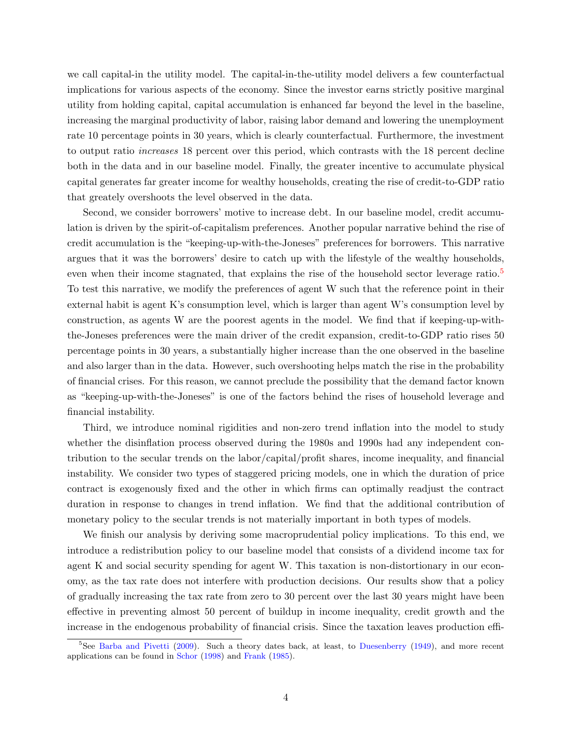we call capital-in the utility model. The capital-in-the-utility model delivers a few counterfactual implications for various aspects of the economy. Since the investor earns strictly positive marginal utility from holding capital, capital accumulation is enhanced far beyond the level in the baseline, increasing the marginal productivity of labor, raising labor demand and lowering the unemployment rate 10 percentage points in 30 years, which is clearly counterfactual. Furthermore, the investment to output ratio increases 18 percent over this period, which contrasts with the 18 percent decline both in the data and in our baseline model. Finally, the greater incentive to accumulate physical capital generates far greater income for wealthy households, creating the rise of credit-to-GDP ratio that greately overshoots the level observed in the data.

Second, we consider borrowers' motive to increase debt. In our baseline model, credit accumulation is driven by the spirit-of-capitalism preferences. Another popular narrative behind the rise of credit accumulation is the "keeping-up-with-the-Joneses" preferences for borrowers. This narrative argues that it was the borrowers' desire to catch up with the lifestyle of the wealthy households, even when their income stagnated, that explains the rise of the household sector leverage ratio.<sup>[5](#page-1-0)</sup> To test this narrative, we modify the preferences of agent W such that the reference point in their external habit is agent K's consumption level, which is larger than agent W's consumption level by construction, as agents W are the poorest agents in the model. We find that if keeping-up-withthe-Joneses preferences were the main driver of the credit expansion, credit-to-GDP ratio rises 50 percentage points in 30 years, a substantially higher increase than the one observed in the baseline and also larger than in the data. However, such overshooting helps match the rise in the probability of financial crises. For this reason, we cannot preclude the possibility that the demand factor known as "keeping-up-with-the-Joneses" is one of the factors behind the rises of household leverage and financial instability.

Third, we introduce nominal rigidities and non-zero trend inflation into the model to study whether the disinflation process observed during the 1980s and 1990s had any independent contribution to the secular trends on the labor/capital/profit shares, income inequality, and financial instability. We consider two types of staggered pricing models, one in which the duration of price contract is exogenously fixed and the other in which firms can optimally readjust the contract duration in response to changes in trend inflation. We find that the additional contribution of monetary policy to the secular trends is not materially important in both types of models.

We finish our analysis by deriving some macroprudential policy implications. To this end, we introduce a redistribution policy to our baseline model that consists of a dividend income tax for agent K and social security spending for agent W. This taxation is non-distortionary in our economy, as the tax rate does not interfere with production decisions. Our results show that a policy of gradually increasing the tax rate from zero to 30 percent over the last 30 years might have been effective in preventing almost 50 percent of buildup in income inequality, credit growth and the increase in the endogenous probability of financial crisis. Since the taxation leaves production effi-

<sup>&</sup>lt;sup>5</sup>See [Barba and Pivetti](#page-31-1) [\(2009\)](#page-31-1). Such a theory dates back, at least, to [Duesenberry](#page-32-1) [\(1949\)](#page-32-1), and more recent applications can be found in [Schor](#page-34-1) [\(1998\)](#page-34-1) and [Frank](#page-32-2) [\(1985\)](#page-32-2).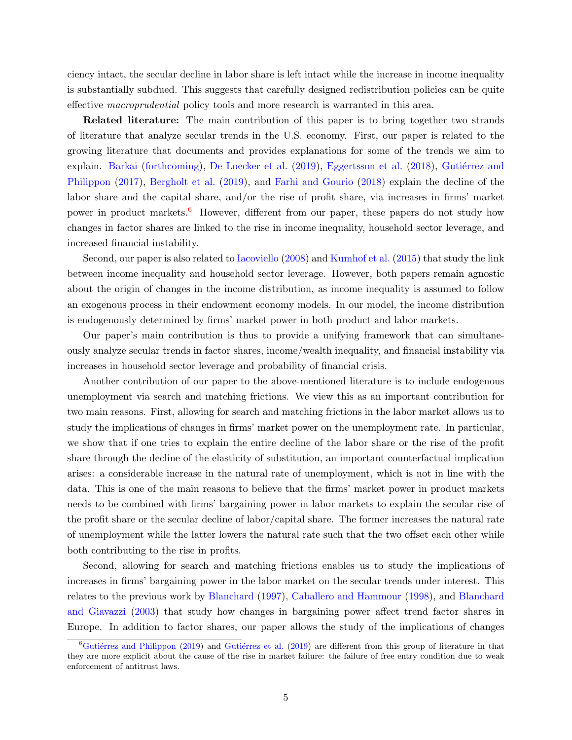ciency intact, the secular decline in labor share is left intact while the increase in income inequality is substantially subdued. This suggests that carefully designed redistribution policies can be quite effective macroprudential policy tools and more research is warranted in this area.

Related literature: The main contribution of this paper is to bring together two strands of literature that analyze secular trends in the U.S. economy. First, our paper is related to the growing literature that documents and provides explanations for some of the trends we aim to explain. [Barkai](#page-31-2) [\(forthcoming\)](#page-31-2), [De Loecker et al.](#page-33-5) [\(2019\)](#page-33-5), [Eggertsson et al.](#page-32-3) [\(2018\)](#page-32-3), Gutiérrez and [Philippon](#page-32-4) [\(2017\)](#page-32-4), [Bergholt et al.](#page-31-3) [\(2019\)](#page-31-3), and [Farhi and Gourio](#page-32-5) [\(2018\)](#page-32-5) explain the decline of the labor share and the capital share, and/or the rise of profit share, via increases in firms' market power in product markets.[6](#page-1-0) However, different from our paper, these papers do not study how changes in factor shares are linked to the rise in income inequality, household sector leverage, and increased financial instability.

Second, our paper is also related to [Iacoviello](#page-33-6) [\(2008\)](#page-33-6) and [Kumhof et al.](#page-33-3) [\(2015\)](#page-33-3) that study the link between income inequality and household sector leverage. However, both papers remain agnostic about the origin of changes in the income distribution, as income inequality is assumed to follow an exogenous process in their endowment economy models. In our model, the income distribution is endogenously determined by firms' market power in both product and labor markets.

Our paper's main contribution is thus to provide a unifying framework that can simultaneously analyze secular trends in factor shares, income/wealth inequality, and financial instability via increases in household sector leverage and probability of financial crisis.

Another contribution of our paper to the above-mentioned literature is to include endogenous unemployment via search and matching frictions. We view this as an important contribution for two main reasons. First, allowing for search and matching frictions in the labor market allows us to study the implications of changes in firms' market power on the unemployment rate. In particular, we show that if one tries to explain the entire decline of the labor share or the rise of the profit share through the decline of the elasticity of substitution, an important counterfactual implication arises: a considerable increase in the natural rate of unemployment, which is not in line with the data. This is one of the main reasons to believe that the firms' market power in product markets needs to be combined with firms' bargaining power in labor markets to explain the secular rise of the profit share or the secular decline of labor/capital share. The former increases the natural rate of unemployment while the latter lowers the natural rate such that the two offset each other while both contributing to the rise in profits.

Second, allowing for search and matching frictions enables us to study the implications of increases in firms' bargaining power in the labor market on the secular trends under interest. This relates to the previous work by [Blanchard](#page-31-4) [\(1997\)](#page-31-4), [Caballero and Hammour](#page-31-5) [\(1998\)](#page-31-5), and [Blanchard](#page-31-6) [and Giavazzi](#page-31-6) [\(2003\)](#page-31-6) that study how changes in bargaining power affect trend factor shares in Europe. In addition to factor shares, our paper allows the study of the implications of changes

 ${}^6$ Gutiérrez and Philippon [\(2019\)](#page-33-7) and Gutiérrez et al. (2019) are different from this group of literature in that they are more explicit about the cause of the rise in market failure: the failure of free entry condition due to weak enforcement of antitrust laws.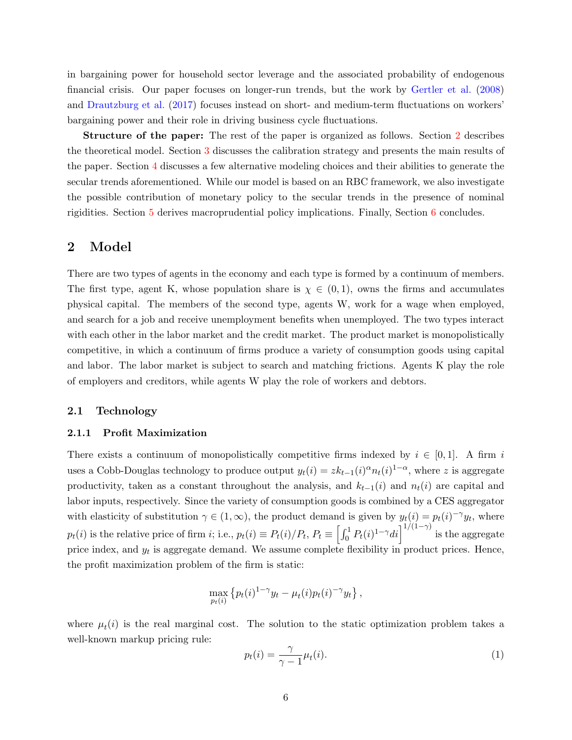in bargaining power for household sector leverage and the associated probability of endogenous financial crisis. Our paper focuses on longer-run trends, but the work by [Gertler et al.](#page-32-7) [\(2008\)](#page-32-7) and [Drautzburg et al.](#page-32-8) [\(2017\)](#page-32-8) focuses instead on short- and medium-term fluctuations on workers' bargaining power and their role in driving business cycle fluctuations.

Structure of the paper: The rest of the paper is organized as follows. Section [2](#page-7-0) describes the theoretical model. Section [3](#page-12-0) discusses the calibration strategy and presents the main results of the paper. Section [4](#page-20-0) discusses a few alternative modeling choices and their abilities to generate the secular trends aforementioned. While our model is based on an RBC framework, we also investigate the possible contribution of monetary policy to the secular trends in the presence of nominal rigidities. Section [5](#page-28-0) derives macroprudential policy implications. Finally, Section [6](#page-30-0) concludes.

### <span id="page-7-0"></span>2 Model

There are two types of agents in the economy and each type is formed by a continuum of members. The first type, agent K, whose population share is  $\chi \in (0,1)$ , owns the firms and accumulates physical capital. The members of the second type, agents W, work for a wage when employed, and search for a job and receive unemployment benefits when unemployed. The two types interact with each other in the labor market and the credit market. The product market is monopolistically competitive, in which a continuum of firms produce a variety of consumption goods using capital and labor. The labor market is subject to search and matching frictions. Agents K play the role of employers and creditors, while agents W play the role of workers and debtors.

#### 2.1 Technology

#### 2.1.1 Profit Maximization

There exists a continuum of monopolistically competitive firms indexed by  $i \in [0,1]$ . A firm i uses a Cobb-Douglas technology to produce output  $y_t(i) = zk_{t-1}(i)^{\alpha} n_t(i)^{1-\alpha}$ , where z is aggregate productivity, taken as a constant throughout the analysis, and  $k_{t-1}(i)$  and  $n_t(i)$  are capital and labor inputs, respectively. Since the variety of consumption goods is combined by a CES aggregator with elasticity of substitution  $\gamma \in (1,\infty)$ , the product demand is given by  $y_t(i) = p_t(i)^{-\gamma} y_t$ , where  $p_t(i)$  is the relative price of firm i; i.e.,  $p_t(i) \equiv P_t(i)/P_t$ ,  $P_t \equiv \left[\int_0^1 P_t(i)^{1-\gamma}di\right]^{1/(1-\gamma)}$  is the aggregate price index, and  $y_t$  is aggregate demand. We assume complete flexibility in product prices. Hence, the profit maximization problem of the firm is static:

$$
\max_{p_t(i)} \left\{ p_t(i)^{1-\gamma} y_t - \mu_t(i) p_t(i)^{-\gamma} y_t \right\},\,
$$

where  $\mu_t(i)$  is the real marginal cost. The solution to the static optimization problem takes a well-known markup pricing rule:

<span id="page-7-1"></span>
$$
p_t(i) = \frac{\gamma}{\gamma - 1} \mu_t(i). \tag{1}
$$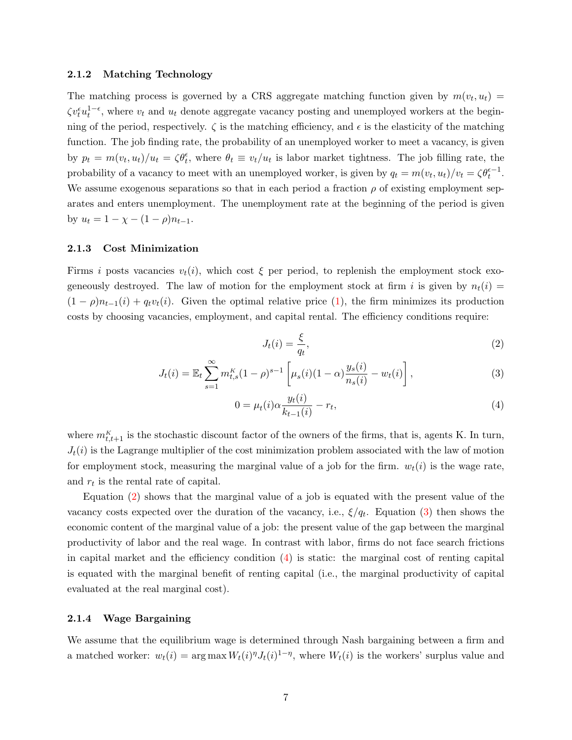#### 2.1.2 Matching Technology

The matching process is governed by a CRS aggregate matching function given by  $m(v_t, u_t) =$  $\zeta v_t^{\epsilon} u_t^{1-\epsilon}$ , where  $v_t$  and  $u_t$  denote aggregate vacancy posting and unemployed workers at the beginning of the period, respectively.  $\zeta$  is the matching efficiency, and  $\epsilon$  is the elasticity of the matching function. The job finding rate, the probability of an unemployed worker to meet a vacancy, is given by  $p_t = m(v_t, u_t)/u_t = \zeta \theta_t^{\epsilon}$ , where  $\theta_t \equiv v_t/u_t$  is labor market tightness. The job filling rate, the probability of a vacancy to meet with an unemployed worker, is given by  $q_t = m(v_t, u_t)/v_t = \zeta \theta_t^{\epsilon-1}$ . We assume exogenous separations so that in each period a fraction  $\rho$  of existing employment separates and enters unemployment. The unemployment rate at the beginning of the period is given by  $u_t = 1 - \chi - (1 - \rho) n_{t-1}$ .

#### 2.1.3 Cost Minimization

Firms i posts vacancies  $v_t(i)$ , which cost  $\xi$  per period, to replenish the employment stock exogeneously destroyed. The law of motion for the employment stock at firm i is given by  $n_t(i)$  =  $(1 - \rho)n_{t-1}(i) + q_tv_t(i)$ . Given the optimal relative price [\(1\)](#page-7-1), the firm minimizes its production costs by choosing vacancies, employment, and capital rental. The efficiency conditions require:

<span id="page-8-2"></span><span id="page-8-1"></span><span id="page-8-0"></span>
$$
J_t(i) = \frac{\xi}{q_t},\tag{2}
$$

$$
J_t(i) = \mathbb{E}_t \sum_{s=1}^{\infty} m_{t,s}^K (1-\rho)^{s-1} \left[ \mu_s(i) (1-\alpha) \frac{y_s(i)}{n_s(i)} - w_t(i) \right],
$$
 (3)

$$
0 = \mu_t(i)\alpha \frac{y_t(i)}{k_{t-1}(i)} - r_t,
$$
\n(4)

where  $m_{t,t+1}^{K}$  is the stochastic discount factor of the owners of the firms, that is, agents K. In turn,  $J_t(i)$  is the Lagrange multiplier of the cost minimization problem associated with the law of motion for employment stock, measuring the marginal value of a job for the firm.  $w_t(i)$  is the wage rate, and  $r_t$  is the rental rate of capital.

Equation [\(2\)](#page-8-0) shows that the marginal value of a job is equated with the present value of the vacancy costs expected over the duration of the vacancy, i.e.,  $\xi/q_t$ . Equation [\(3\)](#page-8-1) then shows the economic content of the marginal value of a job: the present value of the gap between the marginal productivity of labor and the real wage. In contrast with labor, firms do not face search frictions in capital market and the efficiency condition  $(4)$  is static: the marginal cost of renting capital is equated with the marginal benefit of renting capital (i.e., the marginal productivity of capital evaluated at the real marginal cost).

#### 2.1.4 Wage Bargaining

We assume that the equilibrium wage is determined through Nash bargaining between a firm and a matched worker:  $w_t(i) = \arg \max W_t(i)^{\eta} J_t(i)^{1-\eta}$ , where  $W_t(i)$  is the workers' surplus value and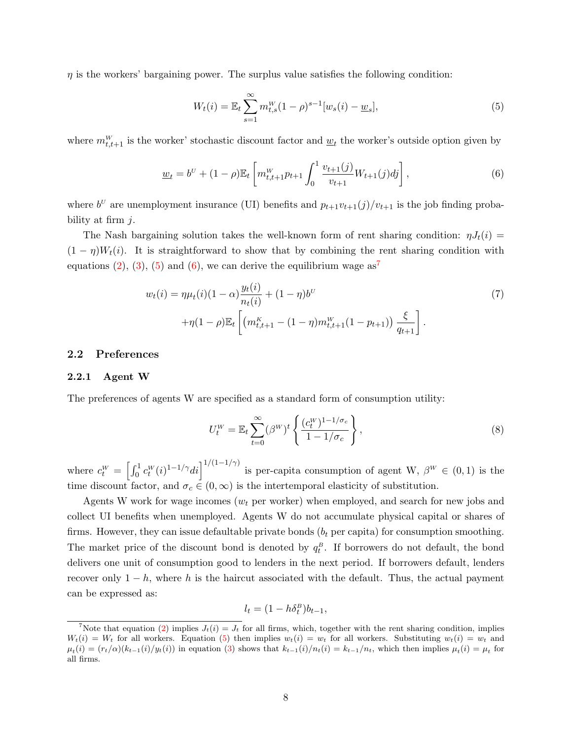$\eta$  is the workers' bargaining power. The surplus value satisfies the following condition:

<span id="page-9-1"></span><span id="page-9-0"></span>
$$
W_t(i) = \mathbb{E}_t \sum_{s=1}^{\infty} m_{t,s}^W (1 - \rho)^{s-1} [w_s(i) - \underline{w}_s],
$$
\n(5)

where  $m_{t,t+1}^W$  is the worker' stochastic discount factor and  $\underline{w}_t$  the worker's outside option given by

$$
\underline{w}_t = b^U + (1 - \rho) \mathbb{E}_t \left[ m_{t,t+1}^W p_{t+1} \int_0^1 \frac{v_{t+1}(j)}{v_{t+1}} W_{t+1}(j) dj \right], \tag{6}
$$

where  $b^U$  are unemployment insurance (UI) benefits and  $p_{t+1}v_{t+1}(j)/v_{t+1}$  is the job finding probability at firm  $j$ .

The Nash bargaining solution takes the well-known form of rent sharing condition:  $\eta J_t(i) =$  $(1 - \eta)W_t(i)$ . It is straightforward to show that by combining the rent sharing condition with equations [\(2\)](#page-8-0), [\(3\)](#page-8-1), [\(5\)](#page-9-0) and [\(6\)](#page-9-1), we can derive the equilibrium wage  $as^7$  $as^7$ 

$$
w_t(i) = \eta \mu_t(i)(1-\alpha) \frac{y_t(i)}{n_t(i)} + (1-\eta)b^U
$$
  
+
$$
\eta(1-\rho)\mathbb{E}_t \left[ \left( m_{t,t+1}^K - (1-\eta)m_{t,t+1}^W(1-p_{t+1}) \right) \frac{\xi}{q_{t+1}} \right].
$$
 (7)

#### 2.2 Preferences

#### 2.2.1 Agent W

<span id="page-9-3"></span>The preferences of agents W are specified as a standard form of consumption utility:

<span id="page-9-2"></span>
$$
U_t^W = \mathbb{E}_t \sum_{t=0}^{\infty} (\beta^W)^t \left\{ \frac{(c_t^W)^{1-1/\sigma_c}}{1-1/\sigma_c} \right\},\tag{8}
$$

where  $c_t^W = \left[\int_0^1 c_t^W(i)^{1-1/\gamma} di\right]^{1/(1-1/\gamma)}$  is per-capita consumption of agent W,  $\beta^W \in (0,1)$  is the time discount factor, and  $\sigma_c \in (0,\infty)$  is the intertemporal elasticity of substitution.

Agents W work for wage incomes ( $w_t$  per worker) when employed, and search for new jobs and collect UI benefits when unemployed. Agents W do not accumulate physical capital or shares of firms. However, they can issue defaultable private bonds  $(b<sub>t</sub>$  per capita) for consumption smoothing. The market price of the discount bond is denoted by  $q_t^B$ . If borrowers do not default, the bond delivers one unit of consumption good to lenders in the next period. If borrowers default, lenders recover only  $1-h$ , where h is the haircut associated with the default. Thus, the actual payment can be expressed as:

$$
l_t = (1 - h\delta_t^B)b_{t-1},
$$

<sup>&</sup>lt;sup>7</sup>Note that equation [\(2\)](#page-8-0) implies  $J_t(i) = J_t$  for all firms, which, together with the rent sharing condition, implies  $W_t(i) = W_t$  for all workers. Equation [\(5\)](#page-9-0) then implies  $w_t(i) = w_t$  for all workers. Substituting  $w_t(i) = w_t$  and  $\mu_t(i) = (r_t/\alpha)(k_{t-1}(i)/y_t(i))$  in equation [\(3\)](#page-8-1) shows that  $k_{t-1}(i)/n_t(i) = k_{t-1}/n_t$ , which then implies  $\mu_t(i) = \mu_t$  for all firms.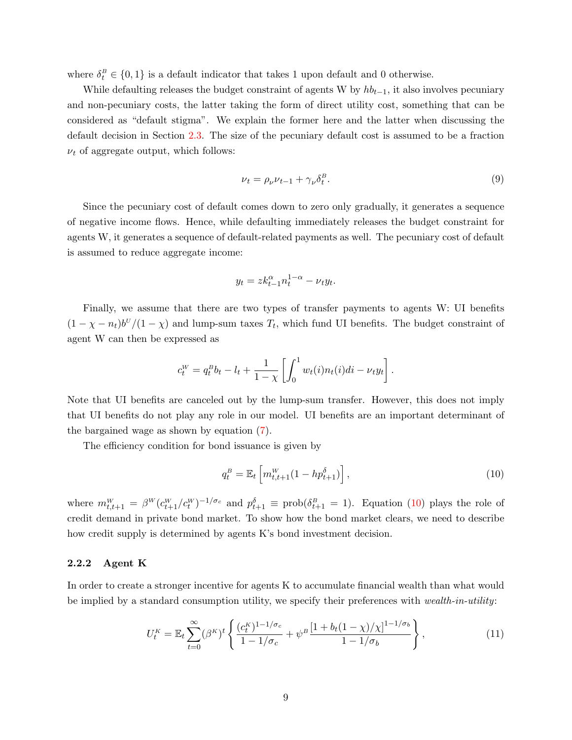where  $\delta_t^B \in \{0,1\}$  is a default indicator that takes 1 upon default and 0 otherwise.

While defaulting releases the budget constraint of agents W by  $h_{t-1}$ , it also involves pecuniary and non-pecuniary costs, the latter taking the form of direct utility cost, something that can be considered as "default stigma". We explain the former here and the latter when discussing the default decision in Section [2.3.](#page-11-0) The size of the pecuniary default cost is assumed to be a fraction  $\nu_t$  of aggregate output, which follows:

<span id="page-10-2"></span>
$$
\nu_t = \rho_\nu \nu_{t-1} + \gamma_\nu \delta_t^B. \tag{9}
$$

Since the pecuniary cost of default comes down to zero only gradually, it generates a sequence of negative income flows. Hence, while defaulting immediately releases the budget constraint for agents W, it generates a sequence of default-related payments as well. The pecuniary cost of default is assumed to reduce aggregate income:

$$
y_t = z k_{t-1}^{\alpha} n_t^{1-\alpha} - \nu_t y_t.
$$

Finally, we assume that there are two types of transfer payments to agents W: UI benefits  $(1 - \chi - n_t) b^U/(1 - \chi)$  and lump-sum taxes  $T_t$ , which fund UI benefits. The budget constraint of agent W can then be expressed as

$$
c_t^W = q_t^B b_t - l_t + \frac{1}{1 - \chi} \left[ \int_0^1 w_t(i) n_t(i) di - \nu_t y_t \right].
$$

Note that UI benefits are canceled out by the lump-sum transfer. However, this does not imply that UI benefits do not play any role in our model. UI benefits are an important determinant of the bargained wage as shown by equation [\(7\)](#page-9-2).

The efficiency condition for bond issuance is given by

<span id="page-10-1"></span><span id="page-10-0"></span>
$$
q_t^B = \mathbb{E}_t \left[ m_{t,t+1}^W (1 - h p_{t+1}^\delta) \right], \tag{10}
$$

where  $m_{t,t+1}^W = \beta^W (c_{t+1}^W/c_t^W)^{-1/\sigma_c}$  and  $p_{t+1}^{\delta} \equiv \text{prob}(\delta_{t+1}^B = 1)$ . Equation [\(10\)](#page-10-0) plays the role of credit demand in private bond market. To show how the bond market clears, we need to describe how credit supply is determined by agents K's bond investment decision.

#### 2.2.2 Agent K

In order to create a stronger incentive for agents K to accumulate financial wealth than what would be implied by a standard consumption utility, we specify their preferences with *wealth-in-utility*:

$$
U_t^K = \mathbb{E}_t \sum_{t=0}^{\infty} (\beta^K)^t \left\{ \frac{(c_t^K)^{1-1/\sigma_c}}{1-1/\sigma_c} + \psi^B \frac{[1+b_t(1-\chi)/\chi]^{1-1/\sigma_b}}{1-1/\sigma_b} \right\},
$$
(11)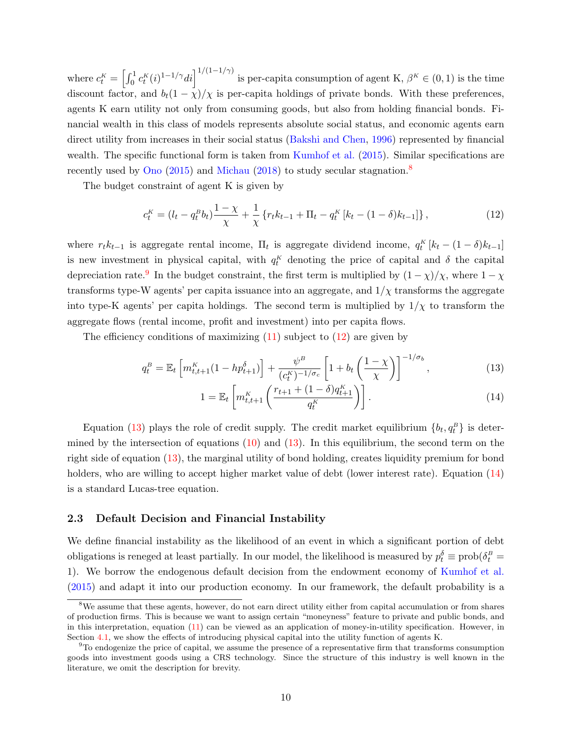where  $c_t^K = \left[\int_0^1 c_t^K(i)^{1-1/\gamma} di\right]^{1/(1-1/\gamma)}$  is per-capita consumption of agent K,  $\beta^K \in (0,1)$  is the time discount factor, and  $b_t(1-\chi)/\chi$  is per-capita holdings of private bonds. With these preferences, agents K earn utility not only from consuming goods, but also from holding financial bonds. Financial wealth in this class of models represents absolute social status, and economic agents earn direct utility from increases in their social status [\(Bakshi and Chen,](#page-31-0) [1996\)](#page-31-0) represented by financial wealth. The specific functional form is taken from [Kumhof et al.](#page-33-3)  $(2015)$ . Similar specifications are recently used by [Ono](#page-33-8)  $(2015)$  and [Michau](#page-33-9)  $(2018)$  to study secular stagnation.<sup>[8](#page-1-0)</sup>

The budget constraint of agent K is given by

<span id="page-11-1"></span>
$$
c_t^K = (l_t - q_t^B b_t) \frac{1 - \chi}{\chi} + \frac{1}{\chi} \left\{ r_t k_{t-1} + \Pi_t - q_t^K \left[ k_t - (1 - \delta) k_{t-1} \right] \right\},\tag{12}
$$

where  $r_t k_{t-1}$  is aggregate rental income,  $\Pi_t$  is aggregate dividend income,  $q_t^K [k_t - (1 - \delta)k_{t-1}]$ is new investment in physical capital, with  $q_t^K$  denoting the price of capital and  $\delta$  the capital depreciation rate.<sup>[9](#page-1-0)</sup> In the budget constraint, the first term is multiplied by  $(1 - \chi)/\chi$ , where  $1 - \chi$ transforms type-W agents' per capita issuance into an aggregate, and  $1/\chi$  transforms the aggregate into type-K agents' per capita holdings. The second term is multiplied by  $1/\chi$  to transform the aggregate flows (rental income, profit and investment) into per capita flows.

The efficiency conditions of maximizing  $(11)$  subject to  $(12)$  are given by

$$
q_t^B = \mathbb{E}_t \left[ m_{t,t+1}^K (1 - h p_{t+1}^\delta) \right] + \frac{\psi^B}{(c_t^K)^{-1/\sigma_c}} \left[ 1 + b_t \left( \frac{1 - \chi}{\chi} \right) \right]^{-1/\sigma_b},\tag{13}
$$

<span id="page-11-3"></span><span id="page-11-2"></span>
$$
1 = \mathbb{E}_t \left[ m_{t,t+1}^K \left( \frac{r_{t+1} + (1 - \delta) q_{t+1}^K}{q_t^K} \right) \right].
$$
 (14)

Equation [\(13\)](#page-11-2) plays the role of credit supply. The credit market equilibrium  ${b_t, q_t^B}$  is determined by the intersection of equations  $(10)$  and  $(13)$ . In this equilibrium, the second term on the right side of equation [\(13\)](#page-11-2), the marginal utility of bond holding, creates liquidity premium for bond holders, who are willing to accept higher market value of debt (lower interest rate). Equation [\(14\)](#page-11-3) is a standard Lucas-tree equation.

#### <span id="page-11-0"></span>2.3 Default Decision and Financial Instability

We define financial instability as the likelihood of an event in which a significant portion of debt obligations is reneged at least partially. In our model, the likelihood is measured by  $p_t^{\delta} \equiv \text{prob}(\delta_t^B =$ 1). We borrow the endogenous default decision from the endowment economy of [Kumhof et al.](#page-33-3) [\(2015\)](#page-33-3) and adapt it into our production economy. In our framework, the default probability is a

<sup>&</sup>lt;sup>8</sup>We assume that these agents, however, do not earn direct utility either from capital accumulation or from shares of production firms. This is because we want to assign certain "moneyness" feature to private and public bonds, and in this interpretation, equation [\(11\)](#page-10-1) can be viewed as an application of money-in-utility specification. However, in Section [4.1,](#page-21-0) we show the effects of introducing physical capital into the utility function of agents K.

 $9T<sub>9</sub>$  ondogenize the price of capital, we assume the presence of a representative firm that transforms consumption goods into investment goods using a CRS technology. Since the structure of this industry is well known in the literature, we omit the description for brevity.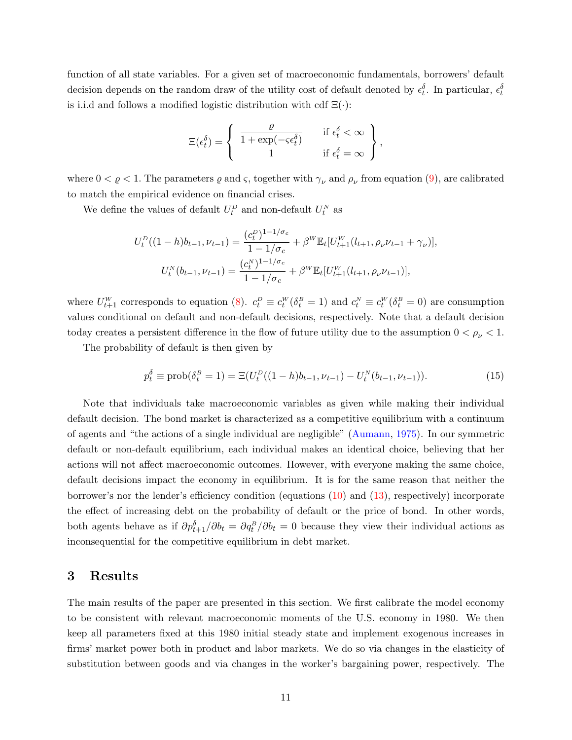function of all state variables. For a given set of macroeconomic fundamentals, borrowers' default decision depends on the random draw of the utility cost of default denoted by  $\epsilon_t^{\delta}$ . In particular,  $\epsilon_t^{\delta}$ is i.i.d and follows a modified logistic distribution with cdf  $\Xi(\cdot)$ :

$$
\Xi(\epsilon_t^\delta) = \left\{ \begin{array}{cc} \frac{\varrho}{1+\exp(-\varsigma\epsilon_t^\delta)} & \text{if } \epsilon_t^\delta < \infty \\ 1 & \text{if } \epsilon_t^\delta = \infty \end{array} \right\},
$$

where  $0 < \varrho < 1$ . The parameters  $\varrho$  and  $\varsigma$ , together with  $\gamma_{\nu}$  and  $\rho_{\nu}$  from equation [\(9\)](#page-10-2), are calibrated to match the empirical evidence on financial crises.

We define the values of default  $U_t^D$  and non-default  $U_t^N$  as

$$
U_t^D((1-h)b_{t-1}, \nu_{t-1}) = \frac{(c_t^D)^{1-1/\sigma_c}}{1-1/\sigma_c} + \beta^W \mathbb{E}_t[U_{t+1}^W(l_{t+1}, \rho_\nu \nu_{t-1} + \gamma_\nu)],
$$

$$
U_t^N(b_{t-1}, \nu_{t-1}) = \frac{(c_t^N)^{1-1/\sigma_c}}{1-1/\sigma_c} + \beta^W \mathbb{E}_t[U_{t+1}^W(l_{t+1}, \rho_\nu \nu_{t-1})],
$$

where  $U_{t+1}^W$  corresponds to equation [\(8\)](#page-9-3).  $c_t^D \equiv c_t^W(\delta_t^B = 1)$  and  $c_t^N \equiv c_t^W(\delta_t^B = 0)$  are consumption values conditional on default and non-default decisions, respectively. Note that a default decision today creates a persistent difference in the flow of future utility due to the assumption  $0 < \rho_{\nu} < 1$ .

The probability of default is then given by

<span id="page-12-1"></span>
$$
p_t^{\delta} \equiv \text{prob}(\delta_t^B = 1) = \Xi(U_t^D((1-h)b_{t-1}, \nu_{t-1}) - U_t^N(b_{t-1}, \nu_{t-1})).
$$
\n(15)

Note that individuals take macroeconomic variables as given while making their individual default decision. The bond market is characterized as a competitive equilibrium with a continuum of agents and "the actions of a single individual are negligible" [\(Aumann,](#page-31-7) [1975\)](#page-31-7). In our symmetric default or non-default equilibrium, each individual makes an identical choice, believing that her actions will not affect macroeconomic outcomes. However, with everyone making the same choice, default decisions impact the economy in equilibrium. It is for the same reason that neither the borrower's nor the lender's efficiency condition (equations [\(10\)](#page-10-0) and [\(13\)](#page-11-2), respectively) incorporate the effect of increasing debt on the probability of default or the price of bond. In other words, both agents behave as if  $\partial p_{t+1}^{\delta}/\partial b_t = \partial q_t^B/\partial b_t = 0$  because they view their individual actions as inconsequential for the competitive equilibrium in debt market.

### <span id="page-12-0"></span>3 Results

The main results of the paper are presented in this section. We first calibrate the model economy to be consistent with relevant macroeconomic moments of the U.S. economy in 1980. We then keep all parameters fixed at this 1980 initial steady state and implement exogenous increases in firms' market power both in product and labor markets. We do so via changes in the elasticity of substitution between goods and via changes in the worker's bargaining power, respectively. The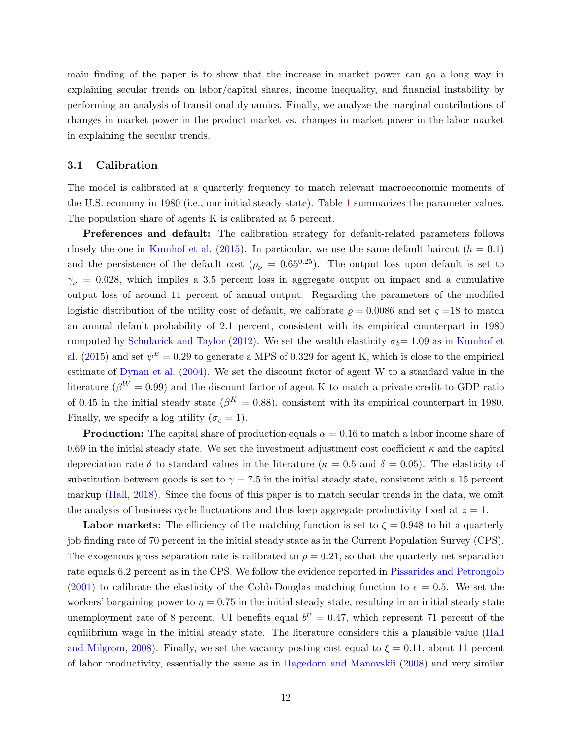main finding of the paper is to show that the increase in market power can go a long way in explaining secular trends on labor/capital shares, income inequality, and financial instability by performing an analysis of transitional dynamics. Finally, we analyze the marginal contributions of changes in market power in the product market vs. changes in market power in the labor market in explaining the secular trends.

#### 3.1 Calibration

The model is calibrated at a quarterly frequency to match relevant macroeconomic moments of the U.S. economy in 1980 (i.e., our initial steady state). Table [1](#page-14-0) summarizes the parameter values. The population share of agents K is calibrated at 5 percent.

Preferences and default: The calibration strategy for default-related parameters follows closely the one in [Kumhof et al.](#page-33-3) [\(2015\)](#page-33-3). In particular, we use the same default haircut  $(h = 0.1)$ and the persistence of the default cost ( $\rho_{\nu} = 0.65^{0.25}$ ). The output loss upon default is set to  $\gamma_{\nu} = 0.028$ , which implies a 3.5 percent loss in aggregate output on impact and a cumulative output loss of around 11 percent of annual output. Regarding the parameters of the modified logistic distribution of the utility cost of default, we calibrate  $\rho = 0.0086$  and set  $\varsigma = 18$  to match an annual default probability of 2.1 percent, consistent with its empirical counterpart in 1980 computed by [Schularick and Taylor](#page-34-0) [\(2012\)](#page-34-0). We set the wealth elasticity  $\sigma_b= 1.09$  as in [Kumhof et](#page-33-3) [al.](#page-33-3) [\(2015\)](#page-33-3) and set  $\psi^B = 0.29$  to generate a MPS of 0.329 for agent K, which is close to the empirical estimate of [Dynan et al.](#page-32-0) [\(2004\)](#page-32-0). We set the discount factor of agent W to a standard value in the literature ( $\beta^{W} = 0.99$ ) and the discount factor of agent K to match a private credit-to-GDP ratio of 0.45 in the initial steady state ( $\beta^{K} = 0.88$ ), consistent with its empirical counterpart in 1980. Finally, we specify a log utility  $(\sigma_c = 1)$ .

**Production:** The capital share of production equals  $\alpha = 0.16$  to match a labor income share of 0.69 in the initial steady state. We set the investment adjustment cost coefficient  $\kappa$  and the capital depreciation rate  $\delta$  to standard values in the literature ( $\kappa = 0.5$  and  $\delta = 0.05$ ). The elasticity of substitution between goods is set to  $\gamma = 7.5$  in the initial steady state, consistent with a 15 percent markup [\(Hall,](#page-33-4) [2018\)](#page-33-4). Since the focus of this paper is to match secular trends in the data, we omit the analysis of business cycle fluctuations and thus keep aggregate productivity fixed at  $z = 1$ .

**Labor markets:** The efficiency of the matching function is set to  $\zeta = 0.948$  to hit a quarterly job finding rate of 70 percent in the initial steady state as in the Current Population Survey (CPS). The exogenous gross separation rate is calibrated to  $\rho = 0.21$ , so that the quarterly net separation rate equals 6.2 percent as in the CPS. We follow the evidence reported in [Pissarides and Petrongolo](#page-33-10) [\(2001\)](#page-33-10) to calibrate the elasticity of the Cobb-Douglas matching function to  $\epsilon = 0.5$ . We set the workers' bargaining power to  $\eta = 0.75$  in the initial steady state, resulting in an initial steady state unemployment rate of 8 percent. UI benefits equal  $b^U = 0.47$ , which represent 71 percent of the equilibrium wage in the initial steady state. The literature considers this a plausible value [\(Hall](#page-33-11) [and Milgrom,](#page-33-11) [2008\)](#page-33-11). Finally, we set the vacancy posting cost equal to  $\xi = 0.11$ , about 11 percent of labor productivity, essentially the same as in [Hagedorn and Manovskii](#page-33-12) [\(2008\)](#page-33-12) and very similar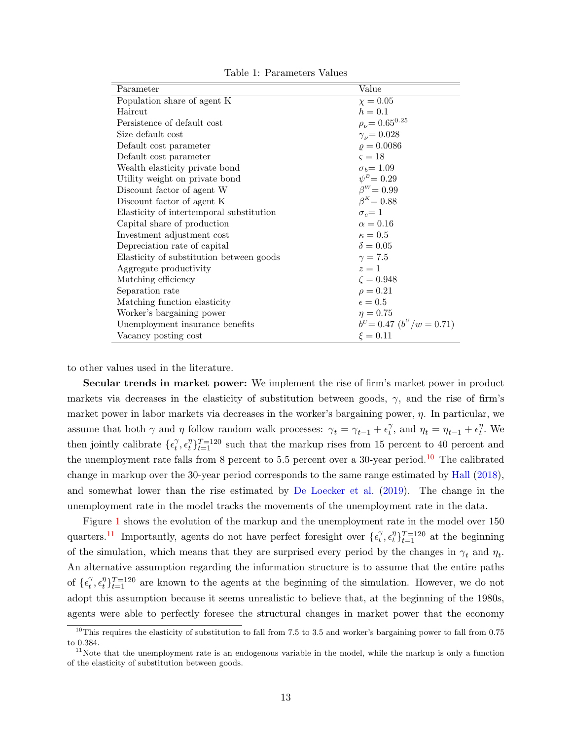<span id="page-14-0"></span>

| Parameter                                | Value                       |
|------------------------------------------|-----------------------------|
| Population share of agent K              | $\chi = 0.05$               |
| Haircut                                  | $h = 0.1$                   |
| Persistence of default cost              | $\rho_{\nu} = 0.65^{0.25}$  |
| Size default cost                        | $\gamma_{\nu} = 0.028$      |
| Default cost parameter                   | $\rho = 0.0086$             |
| Default cost parameter                   | $\varsigma = 18$            |
| Wealth elasticity private bond           | $\sigma_b = 1.09$           |
| Utility weight on private bond           | $\psi^B = 0.29$             |
| Discount factor of agent W               | $\beta^W = 0.99$            |
| Discount factor of agent K               | $\beta^{K} = 0.88$          |
| Elasticity of intertemporal substitution | $\sigma_c = 1$              |
| Capital share of production              | $\alpha = 0.16$             |
| Investment adjustment cost               | $\kappa=0.5$                |
| Depreciation rate of capital             | $\delta = 0.05$             |
| Elasticity of substitution between goods | $\gamma = 7.5$              |
| Aggregate productivity                   | $z=1$                       |
| Matching efficiency                      | $\zeta = 0.948$             |
| Separation rate                          | $\rho = 0.21$               |
| Matching function elasticity             | $\epsilon = 0.5$            |
| Worker's bargaining power                | $\eta = 0.75$               |
| Unemployment insurance benefits          | $b^U = 0.47~(b^U/w = 0.71)$ |
| Vacancy posting cost                     | $\xi = 0.11$                |

Table 1: Parameters Values

to other values used in the literature.

Secular trends in market power: We implement the rise of firm's market power in product markets via decreases in the elasticity of substitution between goods,  $\gamma$ , and the rise of firm's market power in labor markets via decreases in the worker's bargaining power,  $\eta$ . In particular, we assume that both  $\gamma$  and  $\eta$  follow random walk processes:  $\gamma_t = \gamma_{t-1} + \epsilon_t^{\gamma}$  $\gamma_t^{\gamma}$ , and  $\eta_t = \eta_{t-1} + \epsilon_t^{\eta}$  $\eta$ . We then jointly calibrate  $\{\epsilon_t^{\gamma}$  $\hat{t}^{\eta}, \epsilon^{\eta}_t$  $t_t^{\eta}$ <sub>t</sub> $_{t=1}^{T=120}$  such that the markup rises from 15 percent to 40 percent and the unemployment rate falls from 8 percent to 5.5 percent over a 30-year period.<sup>[10](#page-1-0)</sup> The calibrated change in markup over the 30-year period corresponds to the same range estimated by [Hall](#page-33-4) [\(2018\)](#page-33-4), and somewhat lower than the rise estimated by [De Loecker et al.](#page-33-5) [\(2019\)](#page-33-5). The change in the unemployment rate in the model tracks the movements of the unemployment rate in the data.

Figure [1](#page-15-0) shows the evolution of the markup and the unemployment rate in the model over 150 quarters.<sup>[11](#page-1-0)</sup> Importantly, agents do not have perfect foresight over  $\{ \epsilon_t^{\gamma} \}$  $\hat{t}^{\eta}, \epsilon^{\eta}_t$  $t \}$ <sub>t</sub> $t=1$ <sup>n</sup> at the beginning of the simulation, which means that they are surprised every period by the changes in  $\gamma_t$  and  $\eta_t$ . An alternative assumption regarding the information structure is to assume that the entire paths of  $\{\epsilon_t^{\gamma}$  $\hat{t}^{\eta}, \epsilon^{\eta}_t$  $t_{t}^{\eta}$  =120 are known to the agents at the beginning of the simulation. However, we do not adopt this assumption because it seems unrealistic to believe that, at the beginning of the 1980s, agents were able to perfectly foresee the structural changes in market power that the economy

<sup>&</sup>lt;sup>10</sup>This requires the elasticity of substitution to fall from 7.5 to 3.5 and worker's bargaining power to fall from 0.75 to 0.384.

<sup>&</sup>lt;sup>11</sup>Note that the unemployment rate is an endogenous variable in the model, while the markup is only a function of the elasticity of substitution between goods.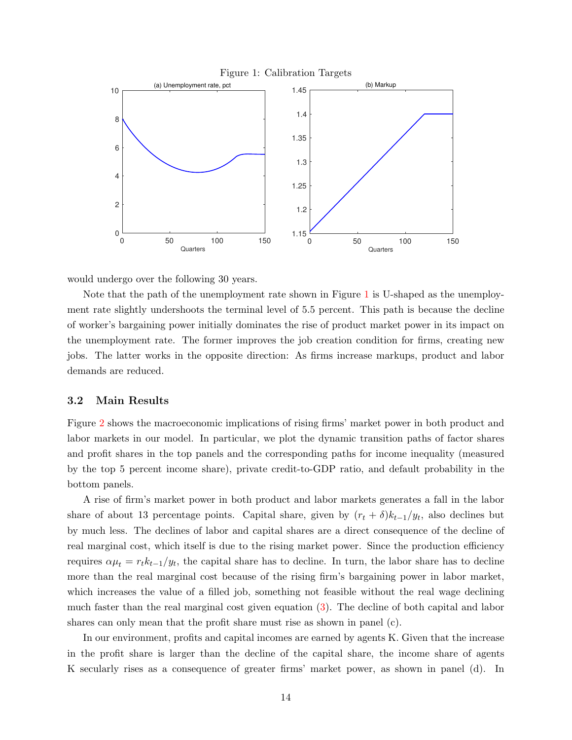<span id="page-15-0"></span>

would undergo over the following 30 years.

Note that the path of the unemployment rate shown in Figure [1](#page-15-0) is U-shaped as the unemployment rate slightly undershoots the terminal level of 5.5 percent. This path is because the decline of worker's bargaining power initially dominates the rise of product market power in its impact on the unemployment rate. The former improves the job creation condition for firms, creating new jobs. The latter works in the opposite direction: As firms increase markups, product and labor demands are reduced.

#### 3.2 Main Results

Figure [2](#page-16-0) shows the macroeconomic implications of rising firms' market power in both product and labor markets in our model. In particular, we plot the dynamic transition paths of factor shares and profit shares in the top panels and the corresponding paths for income inequality (measured by the top 5 percent income share), private credit-to-GDP ratio, and default probability in the bottom panels.

A rise of firm's market power in both product and labor markets generates a fall in the labor share of about 13 percentage points. Capital share, given by  $(r_t + \delta)k_{t-1}/y_t$ , also declines but by much less. The declines of labor and capital shares are a direct consequence of the decline of real marginal cost, which itself is due to the rising market power. Since the production efficiency requires  $\alpha \mu_t = r_t k_{t-1}/y_t$ , the capital share has to decline. In turn, the labor share has to decline more than the real marginal cost because of the rising firm's bargaining power in labor market, which increases the value of a filled job, something not feasible without the real wage declining much faster than the real marginal cost given equation [\(3\)](#page-8-1). The decline of both capital and labor shares can only mean that the profit share must rise as shown in panel (c).

In our environment, profits and capital incomes are earned by agents K. Given that the increase in the profit share is larger than the decline of the capital share, the income share of agents K secularly rises as a consequence of greater firms' market power, as shown in panel (d). In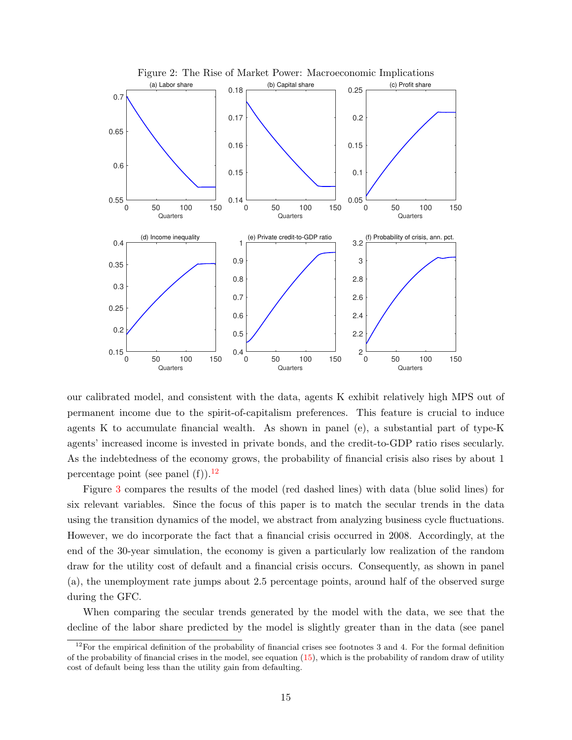<span id="page-16-0"></span>

our calibrated model, and consistent with the data, agents K exhibit relatively high MPS out of permanent income due to the spirit-of-capitalism preferences. This feature is crucial to induce agents K to accumulate financial wealth. As shown in panel (e), a substantial part of type-K agents' increased income is invested in private bonds, and the credit-to-GDP ratio rises secularly. As the indebtedness of the economy grows, the probability of financial crisis also rises by about 1 percentage point (see panel  $(f)$ ).<sup>[12](#page-1-0)</sup>

Figure [3](#page-17-0) compares the results of the model (red dashed lines) with data (blue solid lines) for six relevant variables. Since the focus of this paper is to match the secular trends in the data using the transition dynamics of the model, we abstract from analyzing business cycle fluctuations. However, we do incorporate the fact that a financial crisis occurred in 2008. Accordingly, at the end of the 30-year simulation, the economy is given a particularly low realization of the random draw for the utility cost of default and a financial crisis occurs. Consequently, as shown in panel (a), the unemployment rate jumps about 2.5 percentage points, around half of the observed surge during the GFC.

When comparing the secular trends generated by the model with the data, we see that the decline of the labor share predicted by the model is slightly greater than in the data (see panel

<sup>&</sup>lt;sup>12</sup>For the empirical definition of the probability of financial crises see footnotes 3 and 4. For the formal definition of the probability of financial crises in the model, see equation  $(15)$ , which is the probability of random draw of utility cost of default being less than the utility gain from defaulting.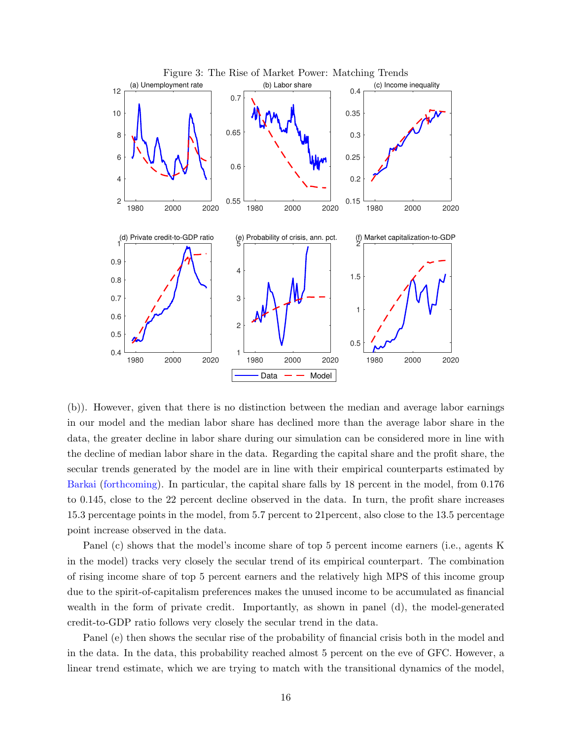<span id="page-17-0"></span>

(b)). However, given that there is no distinction between the median and average labor earnings in our model and the median labor share has declined more than the average labor share in the data, the greater decline in labor share during our simulation can be considered more in line with the decline of median labor share in the data. Regarding the capital share and the profit share, the secular trends generated by the model are in line with their empirical counterparts estimated by [Barkai](#page-31-2) [\(forthcoming\)](#page-31-2). In particular, the capital share falls by 18 percent in the model, from 0.176 to 0.145, close to the 22 percent decline observed in the data. In turn, the profit share increases 15.3 percentage points in the model, from 5.7 percent to 21percent, also close to the 13.5 percentage point increase observed in the data.

Panel (c) shows that the model's income share of top 5 percent income earners (i.e., agents K in the model) tracks very closely the secular trend of its empirical counterpart. The combination of rising income share of top 5 percent earners and the relatively high MPS of this income group due to the spirit-of-capitalism preferences makes the unused income to be accumulated as financial wealth in the form of private credit. Importantly, as shown in panel (d), the model-generated credit-to-GDP ratio follows very closely the secular trend in the data.

Panel (e) then shows the secular rise of the probability of financial crisis both in the model and in the data. In the data, this probability reached almost 5 percent on the eve of GFC. However, a linear trend estimate, which we are trying to match with the transitional dynamics of the model,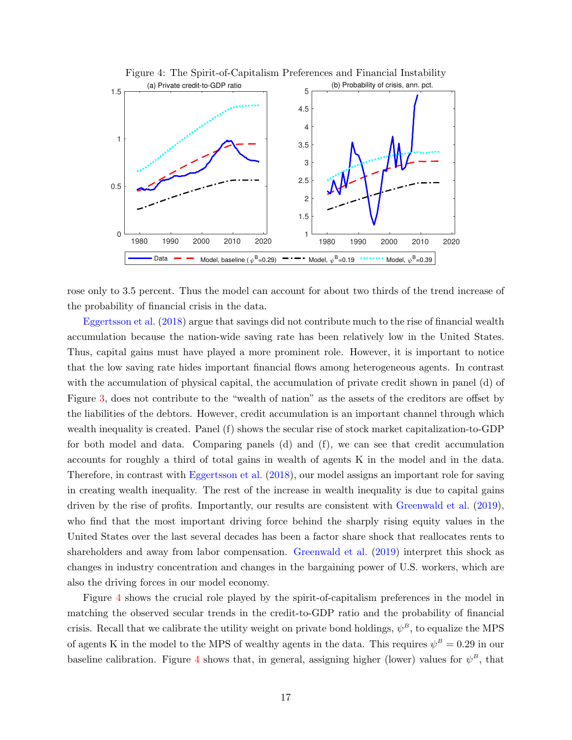<span id="page-18-0"></span>

Figure 4: The Spirit-of-Capitalism Preferences and Financial Instability

rose only to 3.5 percent. Thus the model can account for about two thirds of the trend increase of the probability of financial crisis in the data.

[Eggertsson et al.](#page-32-3) [\(2018\)](#page-32-3) argue that savings did not contribute much to the rise of financial wealth accumulation because the nation-wide saving rate has been relatively low in the United States. Thus, capital gains must have played a more prominent role. However, it is important to notice that the low saving rate hides important financial flows among heterogeneous agents. In contrast with the accumulation of physical capital, the accumulation of private credit shown in panel (d) of Figure [3,](#page-17-0) does not contribute to the "wealth of nation" as the assets of the creditors are offset by the liabilities of the debtors. However, credit accumulation is an important channel through which wealth inequality is created. Panel (f) shows the secular rise of stock market capitalization-to-GDP for both model and data. Comparing panels (d) and (f), we can see that credit accumulation accounts for roughly a third of total gains in wealth of agents K in the model and in the data. Therefore, in contrast with [Eggertsson et al.](#page-32-3) [\(2018\)](#page-32-3), our model assigns an important role for saving in creating wealth inequality. The rest of the increase in wealth inequality is due to capital gains driven by the rise of profits. Importantly, our results are consistent with [Greenwald et al.](#page-32-9) [\(2019\)](#page-32-9), who find that the most important driving force behind the sharply rising equity values in the United States over the last several decades has been a factor share shock that reallocates rents to shareholders and away from labor compensation. [Greenwald et al.](#page-32-9) [\(2019\)](#page-32-9) interpret this shock as changes in industry concentration and changes in the bargaining power of U.S. workers, which are also the driving forces in our model economy.

Figure [4](#page-18-0) shows the crucial role played by the spirit-of-capitalism preferences in the model in matching the observed secular trends in the credit-to-GDP ratio and the probability of financial crisis. Recall that we calibrate the utility weight on private bond holdings,  $\psi^B$ , to equalize the MPS of agents K in the model to the MPS of wealthy agents in the data. This requires  $\psi^B = 0.29$  in our baseline calibration. Figure [4](#page-18-0) shows that, in general, assigning higher (lower) values for  $\psi^B$ , that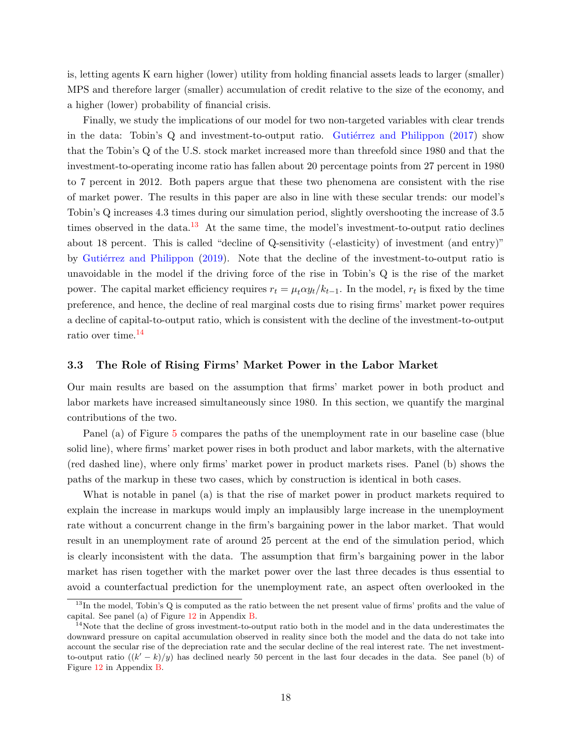is, letting agents K earn higher (lower) utility from holding financial assets leads to larger (smaller) MPS and therefore larger (smaller) accumulation of credit relative to the size of the economy, and a higher (lower) probability of financial crisis.

Finally, we study the implications of our model for two non-targeted variables with clear trends in the data: Tobin's  $Q$  and investment-to-output ratio. Gutièrrez and Philippon [\(2017\)](#page-32-4) show that the Tobin's Q of the U.S. stock market increased more than threefold since 1980 and that the investment-to-operating income ratio has fallen about 20 percentage points from 27 percent in 1980 to 7 percent in 2012. Both papers argue that these two phenomena are consistent with the rise of market power. The results in this paper are also in line with these secular trends: our model's Tobin's Q increases 4.3 times during our simulation period, slightly overshooting the increase of 3.5 times observed in the data.<sup>[13](#page-1-0)</sup> At the same time, the model's investment-to-output ratio declines about 18 percent. This is called "decline of Q-sensitivity (-elasticity) of investment (and entry)" by Gutiérrez and Philippon [\(2019\)](#page-32-6). Note that the decline of the investment-to-output ratio is unavoidable in the model if the driving force of the rise in Tobin's Q is the rise of the market power. The capital market efficiency requires  $r_t = \mu_t \alpha y_t / k_{t-1}$ . In the model,  $r_t$  is fixed by the time preference, and hence, the decline of real marginal costs due to rising firms' market power requires a decline of capital-to-output ratio, which is consistent with the decline of the investment-to-output ratio over time.[14](#page-1-0)

#### 3.3 The Role of Rising Firms' Market Power in the Labor Market

Our main results are based on the assumption that firms' market power in both product and labor markets have increased simultaneously since 1980. In this section, we quantify the marginal contributions of the two.

Panel (a) of Figure [5](#page-20-1) compares the paths of the unemployment rate in our baseline case (blue solid line), where firms' market power rises in both product and labor markets, with the alternative (red dashed line), where only firms' market power in product markets rises. Panel (b) shows the paths of the markup in these two cases, which by construction is identical in both cases.

What is notable in panel (a) is that the rise of market power in product markets required to explain the increase in markups would imply an implausibly large increase in the unemployment rate without a concurrent change in the firm's bargaining power in the labor market. That would result in an unemployment rate of around 25 percent at the end of the simulation period, which is clearly inconsistent with the data. The assumption that firm's bargaining power in the labor market has risen together with the market power over the last three decades is thus essential to avoid a counterfactual prediction for the unemployment rate, an aspect often overlooked in the

 $13$ In the model, Tobin's Q is computed as the ratio between the net present value of firms' profits and the value of capital. See panel (a) of Figure [12](#page-36-0) in Appendix [B.](#page-36-1)

 $14$ Note that the decline of gross investment-to-output ratio both in the model and in the data underestimates the downward pressure on capital accumulation observed in reality since both the model and the data do not take into account the secular rise of the depreciation rate and the secular decline of the real interest rate. The net investmentto-output ratio  $((k'-k)/y)$  has declined nearly 50 percent in the last four decades in the data. See panel (b) of Figure [12](#page-36-0) in Appendix [B.](#page-36-1)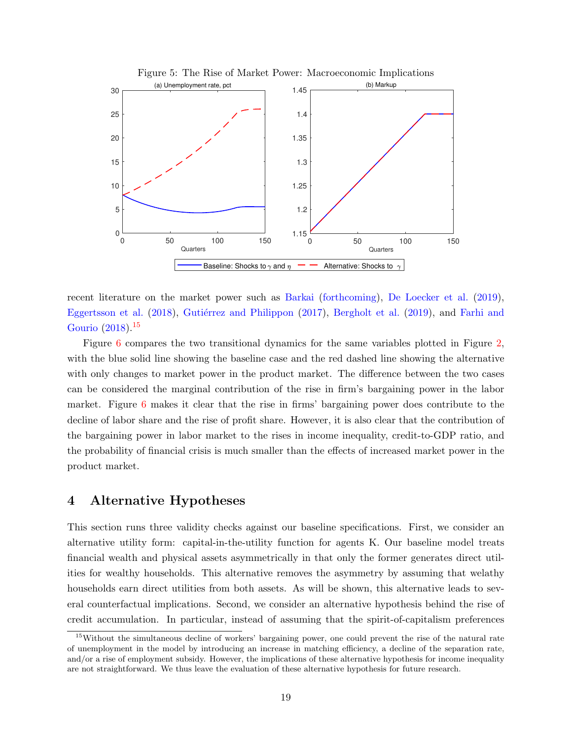<span id="page-20-1"></span>

recent literature on the market power such as [Barkai](#page-31-2) [\(forthcoming\)](#page-31-2), [De Loecker et al.](#page-33-5) [\(2019\)](#page-33-5), [Eggertsson et al.](#page-32-3) [\(2018\)](#page-32-3), Gutiérrez and Philippon [\(2017\)](#page-32-4), [Bergholt et al.](#page-31-3) [\(2019\)](#page-31-3), and [Farhi and](#page-32-5) [Gourio](#page-32-5) [\(2018\)](#page-32-5).[15](#page-1-0)

Figure [6](#page-21-1) compares the two transitional dynamics for the same variables plotted in Figure [2,](#page-16-0) with the blue solid line showing the baseline case and the red dashed line showing the alternative with only changes to market power in the product market. The difference between the two cases can be considered the marginal contribution of the rise in firm's bargaining power in the labor market. Figure [6](#page-21-1) makes it clear that the rise in firms' bargaining power does contribute to the decline of labor share and the rise of profit share. However, it is also clear that the contribution of the bargaining power in labor market to the rises in income inequality, credit-to-GDP ratio, and the probability of financial crisis is much smaller than the effects of increased market power in the product market.

### <span id="page-20-0"></span>4 Alternative Hypotheses

This section runs three validity checks against our baseline specifications. First, we consider an alternative utility form: capital-in-the-utility function for agents K. Our baseline model treats financial wealth and physical assets asymmetrically in that only the former generates direct utilities for wealthy households. This alternative removes the asymmetry by assuming that welathy households earn direct utilities from both assets. As will be shown, this alternative leads to several counterfactual implications. Second, we consider an alternative hypothesis behind the rise of credit accumulation. In particular, instead of assuming that the spirit-of-capitalism preferences

<sup>&</sup>lt;sup>15</sup>Without the simultaneous decline of workers' bargaining power, one could prevent the rise of the natural rate of unemployment in the model by introducing an increase in matching efficiency, a decline of the separation rate, and/or a rise of employment subsidy. However, the implications of these alternative hypothesis for income inequality are not straightforward. We thus leave the evaluation of these alternative hypothesis for future research.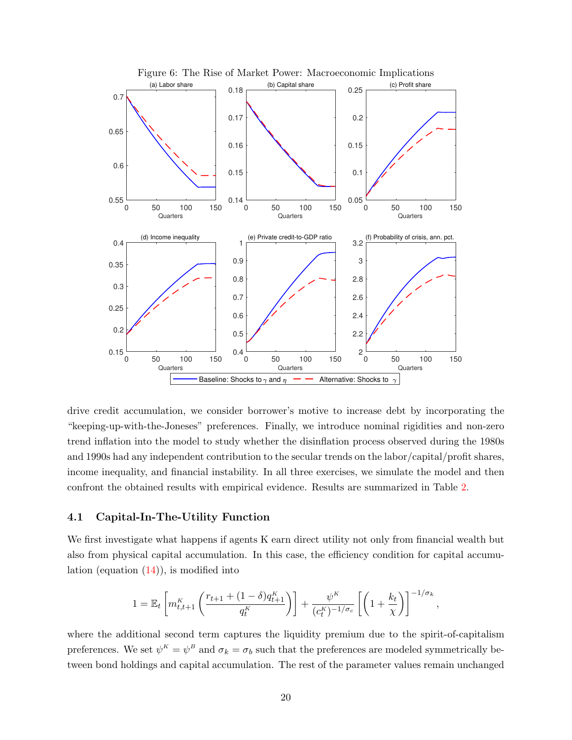<span id="page-21-1"></span>

drive credit accumulation, we consider borrower's motive to increase debt by incorporating the "keeping-up-with-the-Joneses" preferences. Finally, we introduce nominal rigidities and non-zero trend inflation into the model to study whether the disinflation process observed during the 1980s and 1990s had any independent contribution to the secular trends on the labor/capital/profit shares, income inequality, and financial instability. In all three exercises, we simulate the model and then confront the obtained results with empirical evidence. Results are summarized in Table [2.](#page-22-0)

#### <span id="page-21-0"></span>4.1 Capital-In-The-Utility Function

We first investigate what happens if agents K earn direct utility not only from financial wealth but also from physical capital accumulation. In this case, the efficiency condition for capital accumulation (equation  $(14)$ ), is modified into

$$
1 = \mathbb{E}_t \left[ m_{t,t+1}^K \left( \frac{r_{t+1} + (1-\delta)q_{t+1}^K}{q_t^K} \right) \right] + \frac{\psi^K}{(c_t^K)^{-1/\sigma_c}} \left[ \left( 1 + \frac{k_t}{\chi} \right) \right]^{-1/\sigma_k},
$$

where the additional second term captures the liquidity premium due to the spirit-of-capitalism preferences. We set  $\psi^K = \psi^B$  and  $\sigma_k = \sigma_b$  such that the preferences are modeled symmetrically between bond holdings and capital accumulation. The rest of the parameter values remain unchanged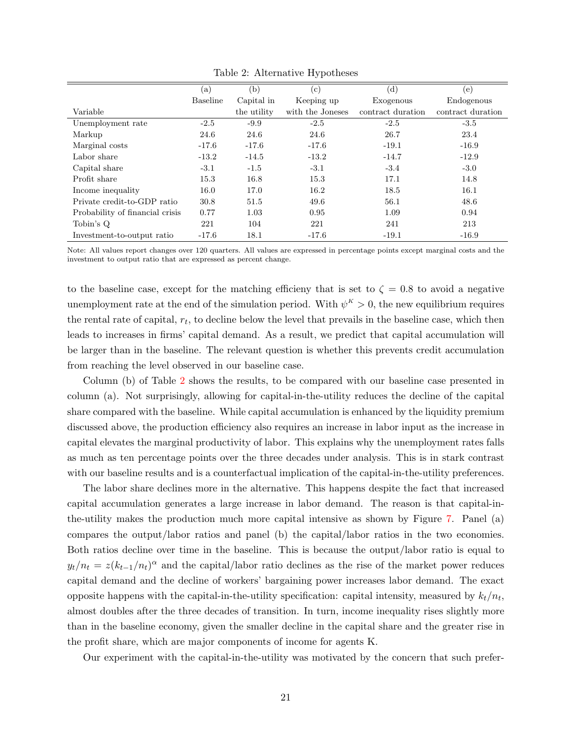<span id="page-22-0"></span>

|                                 | (a)             | (b)         | $(\rm c)$        | $(\mathrm{d})$    | (e)               |
|---------------------------------|-----------------|-------------|------------------|-------------------|-------------------|
|                                 | <b>Baseline</b> | Capital in  | Keeping up       | Exogenous         | Endogenous        |
| Variable                        |                 | the utility | with the Joneses | contract duration | contract duration |
| Unemployment rate               | $-2.5$          | $-9.9$      | $-2.5$           | $-2.5$            | $-3.5$            |
| Markup                          | 24.6            | 24.6        | 24.6             | 26.7              | 23.4              |
| Marginal costs                  | $-17.6$         | $-17.6$     | $-17.6$          | $-19.1$           | $-16.9$           |
| Labor share                     | $-13.2$         | $-14.5$     | $-13.2$          | $-14.7$           | $-12.9$           |
| Capital share                   | $-3.1$          | $-1.5$      | $-3.1$           | $-3.4$            | $-3.0$            |
| Profit share                    | 15.3            | 16.8        | 15.3             | 17.1              | 14.8              |
| Income inequality               | 16.0            | 17.0        | 16.2             | 18.5              | 16.1              |
| Private credit-to-GDP ratio     | 30.8            | 51.5        | 49.6             | 56.1              | 48.6              |
| Probability of financial crisis | 0.77            | 1.03        | 0.95             | 1.09              | 0.94              |
| Tobin's Q                       | 221             | 104         | 221              | 241               | 213               |
| Investment-to-output ratio      | $-17.6$         | 18.1        | $-17.6$          | $-19.1$           | $-16.9$           |

Table 2: Alternative Hypotheses

Note: All values report changes over 120 quarters. All values are expressed in percentage points except marginal costs and the investment to output ratio that are expressed as percent change.

to the baseline case, except for the matching efficieny that is set to  $\zeta = 0.8$  to avoid a negative unemployment rate at the end of the simulation period. With  $\psi^K > 0$ , the new equilibrium requires the rental rate of capital,  $r_t$ , to decline below the level that prevails in the baseline case, which then leads to increases in firms' capital demand. As a result, we predict that capital accumulation will be larger than in the baseline. The relevant question is whether this prevents credit accumulation from reaching the level observed in our baseline case.

Column (b) of Table [2](#page-22-0) shows the results, to be compared with our baseline case presented in column (a). Not surprisingly, allowing for capital-in-the-utility reduces the decline of the capital share compared with the baseline. While capital accumulation is enhanced by the liquidity premium discussed above, the production efficiency also requires an increase in labor input as the increase in capital elevates the marginal productivity of labor. This explains why the unemployment rates falls as much as ten percentage points over the three decades under analysis. This is in stark contrast with our baseline results and is a counterfactual implication of the capital-in-the-utility preferences.

The labor share declines more in the alternative. This happens despite the fact that increased capital accumulation generates a large increase in labor demand. The reason is that capital-inthe-utility makes the production much more capital intensive as shown by Figure [7.](#page-23-0) Panel (a) compares the output/labor ratios and panel (b) the capital/labor ratios in the two economies. Both ratios decline over time in the baseline. This is because the output/labor ratio is equal to  $y_t/n_t = z(k_{t-1}/n_t)^\alpha$  and the capital/labor ratio declines as the rise of the market power reduces capital demand and the decline of workers' bargaining power increases labor demand. The exact opposite happens with the capital-in-the-utility specification: capital intensity, measured by  $k_t/n_t$ , almost doubles after the three decades of transition. In turn, income inequality rises slightly more than in the baseline economy, given the smaller decline in the capital share and the greater rise in the profit share, which are major components of income for agents K.

Our experiment with the capital-in-the-utility was motivated by the concern that such prefer-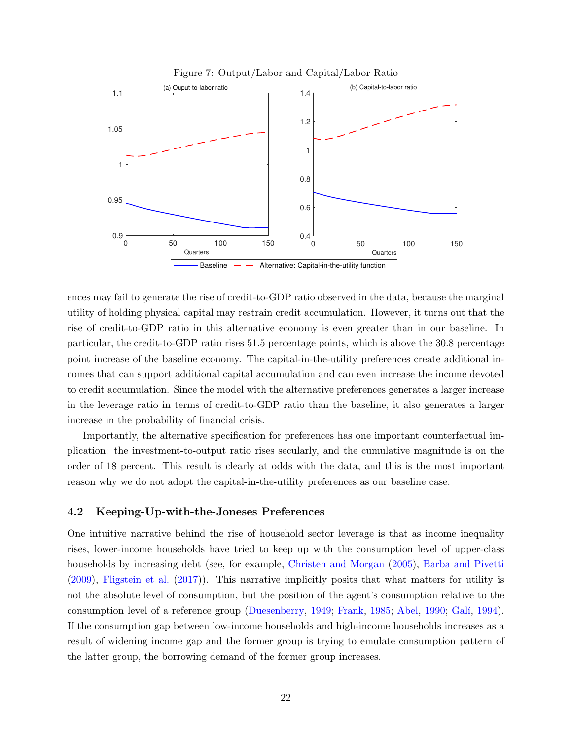

<span id="page-23-0"></span>

ences may fail to generate the rise of credit-to-GDP ratio observed in the data, because the marginal utility of holding physical capital may restrain credit accumulation. However, it turns out that the rise of credit-to-GDP ratio in this alternative economy is even greater than in our baseline. In particular, the credit-to-GDP ratio rises 51.5 percentage points, which is above the 30.8 percentage point increase of the baseline economy. The capital-in-the-utility preferences create additional incomes that can support additional capital accumulation and can even increase the income devoted to credit accumulation. Since the model with the alternative preferences generates a larger increase in the leverage ratio in terms of credit-to-GDP ratio than the baseline, it also generates a larger increase in the probability of financial crisis.

Importantly, the alternative specification for preferences has one important counterfactual implication: the investment-to-output ratio rises secularly, and the cumulative magnitude is on the order of 18 percent. This result is clearly at odds with the data, and this is the most important reason why we do not adopt the capital-in-the-utility preferences as our baseline case.

#### 4.2 Keeping-Up-with-the-Joneses Preferences

One intuitive narrative behind the rise of household sector leverage is that as income inequality rises, lower-income households have tried to keep up with the consumption level of upper-class households by increasing debt (see, for example, [Christen and Morgan](#page-31-8) [\(2005\)](#page-31-8), [Barba and Pivetti](#page-31-1) [\(2009\)](#page-31-1), [Fligstein et al.](#page-32-10) [\(2017\)](#page-32-10)). This narrative implicitly posits that what matters for utility is not the absolute level of consumption, but the position of the agent's consumption relative to the consumption level of a reference group [\(Duesenberry,](#page-32-1) [1949;](#page-32-1) [Frank,](#page-32-2) [1985;](#page-32-2) [Abel,](#page-31-9) [1990;](#page-31-9) Galí, [1994\)](#page-32-11). If the consumption gap between low-income households and high-income households increases as a result of widening income gap and the former group is trying to emulate consumption pattern of the latter group, the borrowing demand of the former group increases.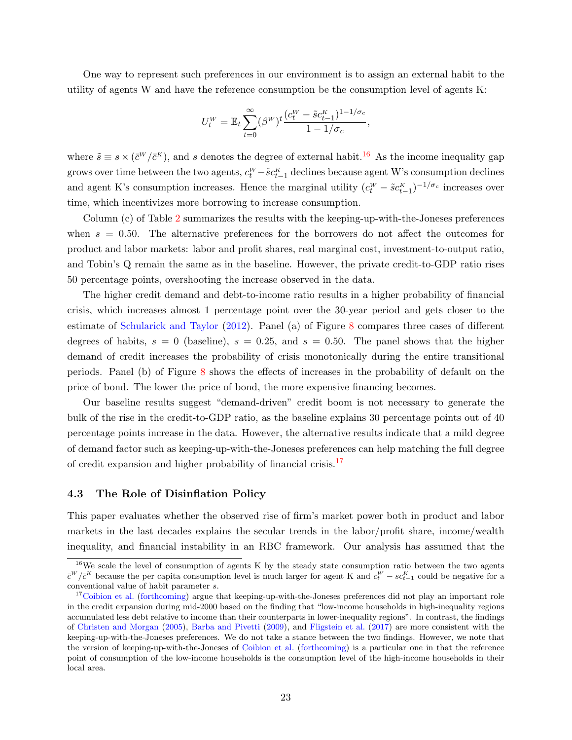One way to represent such preferences in our environment is to assign an external habit to the utility of agents W and have the reference consumption be the consumption level of agents K:

$$
U_t^W = \mathbb{E}_t \sum_{t=0}^{\infty} (\beta^W)^t \frac{(c_t^W - \tilde{s}c_{t-1}^K)^{1-1/\sigma_c}}{1-1/\sigma_c},
$$

where  $\tilde{s} \equiv s \times (\bar{c}^W/\bar{c}^K)$ , and s denotes the degree of external habit.<sup>[16](#page-1-0)</sup> As the income inequality gap grows over time between the two agents,  $c_t^W - \tilde{s}c_{t-1}^K$  declines because agent W's consumption declines and agent K's consumption increases. Hence the marginal utility  $(c_t^W - \tilde{s}c_{t-1}^K)^{-1/\sigma_c}$  increases over time, which incentivizes more borrowing to increase consumption.

Column (c) of Table [2](#page-22-0) summarizes the results with the keeping-up-with-the-Joneses preferences when  $s = 0.50$ . The alternative preferences for the borrowers do not affect the outcomes for product and labor markets: labor and profit shares, real marginal cost, investment-to-output ratio, and Tobin's Q remain the same as in the baseline. However, the private credit-to-GDP ratio rises 50 percentage points, overshooting the increase observed in the data.

The higher credit demand and debt-to-income ratio results in a higher probability of financial crisis, which increases almost 1 percentage point over the 30-year period and gets closer to the estimate of [Schularick and Taylor](#page-34-0) [\(2012\)](#page-34-0). Panel (a) of Figure [8](#page-25-0) compares three cases of different degrees of habits,  $s = 0$  (baseline),  $s = 0.25$ , and  $s = 0.50$ . The panel shows that the higher demand of credit increases the probability of crisis monotonically during the entire transitional periods. Panel (b) of Figure [8](#page-25-0) shows the effects of increases in the probability of default on the price of bond. The lower the price of bond, the more expensive financing becomes.

Our baseline results suggest "demand-driven" credit boom is not necessary to generate the bulk of the rise in the credit-to-GDP ratio, as the baseline explains 30 percentage points out of 40 percentage points increase in the data. However, the alternative results indicate that a mild degree of demand factor such as keeping-up-with-the-Joneses preferences can help matching the full degree of credit expansion and higher probability of financial crisis.[17](#page-1-0)

#### <span id="page-24-0"></span>4.3 The Role of Disinflation Policy

This paper evaluates whether the observed rise of firm's market power both in product and labor markets in the last decades explains the secular trends in the labor/profit share, income/wealth inequality, and financial instability in an RBC framework. Our analysis has assumed that the

<sup>&</sup>lt;sup>16</sup>We scale the level of consumption of agents K by the steady state consumption ratio between the two agents  $\bar{c}^W/\bar{c}^K$  because the per capita consumption level is much larger for agent K and  $c_t^W - sc_{t-1}^K$  could be negative for a conventional value of habit parameter s.

<sup>&</sup>lt;sup>17</sup>[Coibion et al.](#page-32-12) [\(forthcoming\)](#page-32-12) argue that keeping-up-with-the-Joneses preferences did not play an important role in the credit expansion during mid-2000 based on the finding that "low-income households in high-inequality regions accumulated less debt relative to income than their counterparts in lower-inequality regions". In contrast, the findings of [Christen and Morgan](#page-31-8) [\(2005\)](#page-31-8), [Barba and Pivetti](#page-31-1) [\(2009\)](#page-31-1), and [Fligstein et al.](#page-32-10) [\(2017\)](#page-32-10) are more consistent with the keeping-up-with-the-Joneses preferences. We do not take a stance between the two findings. However, we note that the version of keeping-up-with-the-Joneses of [Coibion et al.](#page-32-12) [\(forthcoming\)](#page-32-12) is a particular one in that the reference point of consumption of the low-income households is the consumption level of the high-income households in their local area.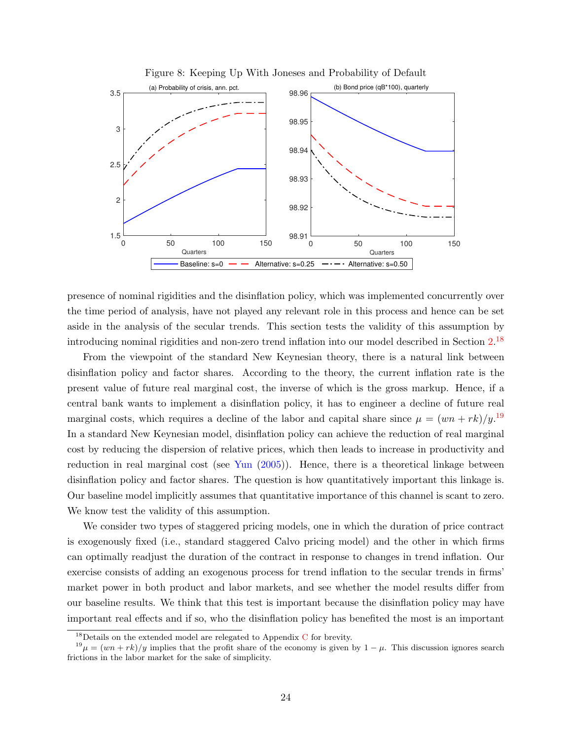<span id="page-25-0"></span>

Figure 8: Keeping Up With Joneses and Probability of Default

presence of nominal rigidities and the disinflation policy, which was implemented concurrently over the time period of analysis, have not played any relevant role in this process and hence can be set aside in the analysis of the secular trends. This section tests the validity of this assumption by introducing nominal rigidities and non-zero trend inflation into our model described in Section [2.](#page-7-0) [18](#page-1-0)

From the viewpoint of the standard New Keynesian theory, there is a natural link between disinflation policy and factor shares. According to the theory, the current inflation rate is the present value of future real marginal cost, the inverse of which is the gross markup. Hence, if a central bank wants to implement a disinflation policy, it has to engineer a decline of future real marginal costs, which requires a decline of the labor and capital share since  $\mu = (wn + rk)/y$ .<sup>[19](#page-1-0)</sup> In a standard New Keynesian model, disinflation policy can achieve the reduction of real marginal cost by reducing the dispersion of relative prices, which then leads to increase in productivity and reduction in real marginal cost (see [Yun](#page-34-2) [\(2005\)](#page-34-2)). Hence, there is a theoretical linkage between disinflation policy and factor shares. The question is how quantitatively important this linkage is. Our baseline model implicitly assumes that quantitative importance of this channel is scant to zero. We know test the validity of this assumption.

We consider two types of staggered pricing models, one in which the duration of price contract is exogenously fixed (i.e., standard staggered Calvo pricing model) and the other in which firms can optimally readjust the duration of the contract in response to changes in trend inflation. Our exercise consists of adding an exogenous process for trend inflation to the secular trends in firms' market power in both product and labor markets, and see whether the model results differ from our baseline results. We think that this test is important because the disinflation policy may have important real effects and if so, who the disinflation policy has benefited the most is an important

 $^{18}$ Details on the extended model are relegated to Appendix [C](#page-36-2) for brevity.

 $19\mu = (wn + rk)/y$  implies that the profit share of the economy is given by  $1 - \mu$ . This discussion ignores search frictions in the labor market for the sake of simplicity.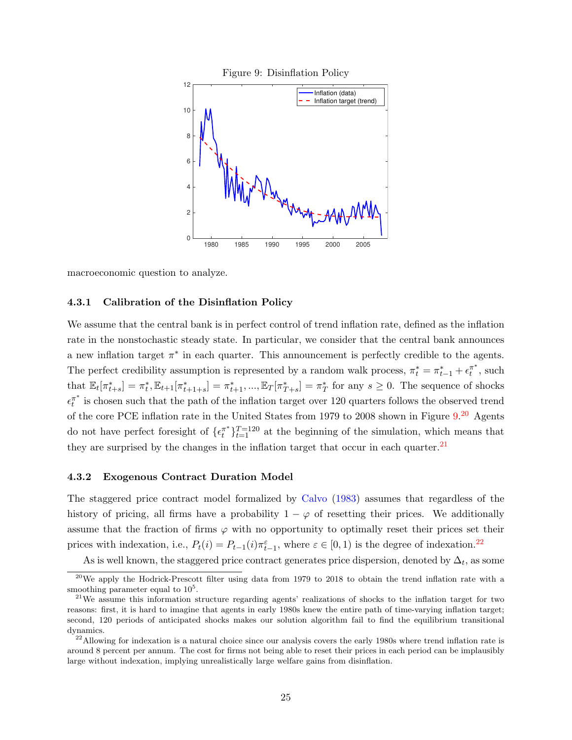<span id="page-26-0"></span>

macroeconomic question to analyze.

#### 4.3.1 Calibration of the Disinflation Policy

We assume that the central bank is in perfect control of trend inflation rate, defined as the inflation rate in the nonstochastic steady state. In particular, we consider that the central bank announces a new inflation target  $\pi^*$  in each quarter. This announcement is perfectly credible to the agents. The perfect credibility assumption is represented by a random walk process,  $\pi_t^* = \pi_{t-1}^* + \epsilon_t^{\pi^*}$ , such that  $\mathbb{E}_{t}[\pi_{t+s}^{*}] = \pi_{t}^{*}, \mathbb{E}_{t+1}[\pi_{t+1+s}^{*}] = \pi_{t+1}^{*}, ..., \mathbb{E}_{T}[\pi_{T+s}^{*}] = \pi_{T}^{*}$  for any  $s \geq 0$ . The sequence of shocks  $\epsilon_t^{\pi^*}$  is chosen such that the path of the inflation target over 120 quarters follows the observed trend of the core PCE inflation rate in the United States from 1979 to [20](#page-1-0)08 shown in Figure  $9.^{20}$  $9.^{20}$  Agents do not have perfect foresight of  $\{\epsilon_t^{\pi^*}\}_{t=1}^{T=120}$  at the beginning of the simulation, which means that they are surprised by the changes in the inflation target that occur in each quarter. $^{21}$  $^{21}$  $^{21}$ 

#### 4.3.2 Exogenous Contract Duration Model

The staggered price contract model formalized by [Calvo](#page-31-10) [\(1983\)](#page-31-10) assumes that regardless of the history of pricing, all firms have a probability  $1 - \varphi$  of resetting their prices. We additionally assume that the fraction of firms  $\varphi$  with no opportunity to optimally reset their prices set their prices with indexation, i.e.,  $P_t(i) = P_{t-1}(i)\pi_{t-1}^{\varepsilon}$ , where  $\varepsilon \in [0,1)$  is the degree of indexation.<sup>[22](#page-1-0)</sup>

As is well known, the staggered price contract generates price dispersion, denoted by  $\Delta_t$ , as some

<sup>&</sup>lt;sup>20</sup>We apply the Hodrick-Prescott filter using data from 1979 to 2018 to obtain the trend inflation rate with a smoothing parameter equal to  $10<sup>5</sup>$ .

<sup>&</sup>lt;sup>21</sup>We assume this information structure regarding agents' realizations of shocks to the inflation target for two reasons: first, it is hard to imagine that agents in early 1980s knew the entire path of time-varying inflation target; second, 120 periods of anticipated shocks makes our solution algorithm fail to find the equilibrium transitional dynamics.

 $22$ Allowing for indexation is a natural choice since our analysis covers the early 1980s where trend inflation rate is around 8 percent per annum. The cost for firms not being able to reset their prices in each period can be implausibly large without indexation, implying unrealistically large welfare gains from disinflation.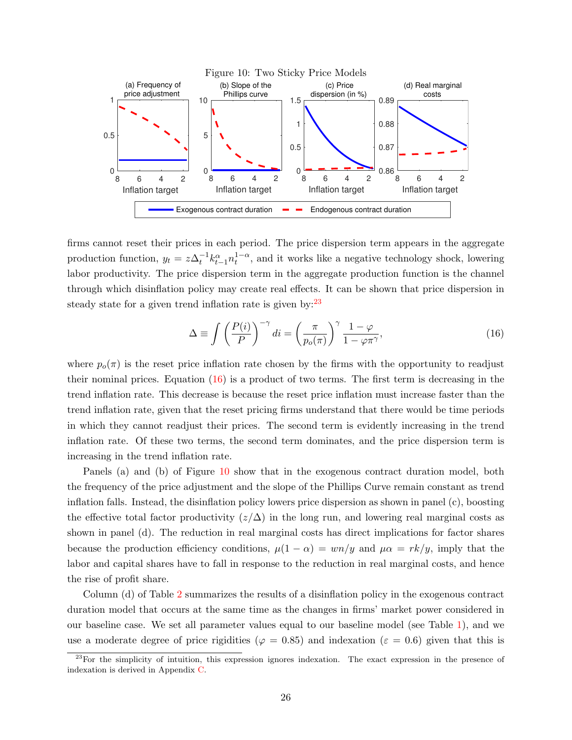<span id="page-27-1"></span>

firms cannot reset their prices in each period. The price dispersion term appears in the aggregate production function,  $y_t = z\Delta_t^{-1} k_{t-1}^{\alpha} n_t^{1-\alpha}$ , and it works like a negative technology shock, lowering labor productivity. The price dispersion term in the aggregate production function is the channel through which disinflation policy may create real effects. It can be shown that price dispersion in steady state for a given trend inflation rate is given by:  $23$ 

$$
\Delta \equiv \int \left(\frac{P(i)}{P}\right)^{-\gamma} di = \left(\frac{\pi}{p_o(\pi)}\right)^{\gamma} \frac{1-\varphi}{1-\varphi\pi^{\gamma}},\tag{16}
$$

<span id="page-27-0"></span>where  $p_o(\pi)$  is the reset price inflation rate chosen by the firms with the opportunity to readjust their nominal prices. Equation  $(16)$  is a product of two terms. The first term is decreasing in the trend inflation rate. This decrease is because the reset price inflation must increase faster than the trend inflation rate, given that the reset pricing firms understand that there would be time periods in which they cannot readjust their prices. The second term is evidently increasing in the trend inflation rate. Of these two terms, the second term dominates, and the price dispersion term is increasing in the trend inflation rate.

Panels (a) and (b) of Figure [10](#page-27-1) show that in the exogenous contract duration model, both the frequency of the price adjustment and the slope of the Phillips Curve remain constant as trend inflation falls. Instead, the disinflation policy lowers price dispersion as shown in panel (c), boosting the effective total factor productivity  $(z/\Delta)$  in the long run, and lowering real marginal costs as shown in panel (d). The reduction in real marginal costs has direct implications for factor shares because the production efficiency conditions,  $\mu(1-\alpha) = w\eta/y$  and  $\mu\alpha = \frac{rk}{y}$ , imply that the labor and capital shares have to fall in response to the reduction in real marginal costs, and hence the rise of profit share.

Column (d) of Table [2](#page-22-0) summarizes the results of a disinflation policy in the exogenous contract duration model that occurs at the same time as the changes in firms' market power considered in our baseline case. We set all parameter values equal to our baseline model (see Table [1\)](#page-14-0), and we use a moderate degree of price rigidities ( $\varphi = 0.85$ ) and indexation ( $\varepsilon = 0.6$ ) given that this is

<sup>&</sup>lt;sup>23</sup>For the simplicity of intuition, this expression ignores indexation. The exact expression in the presence of indexation is derived in Appendix [C.](#page-36-2)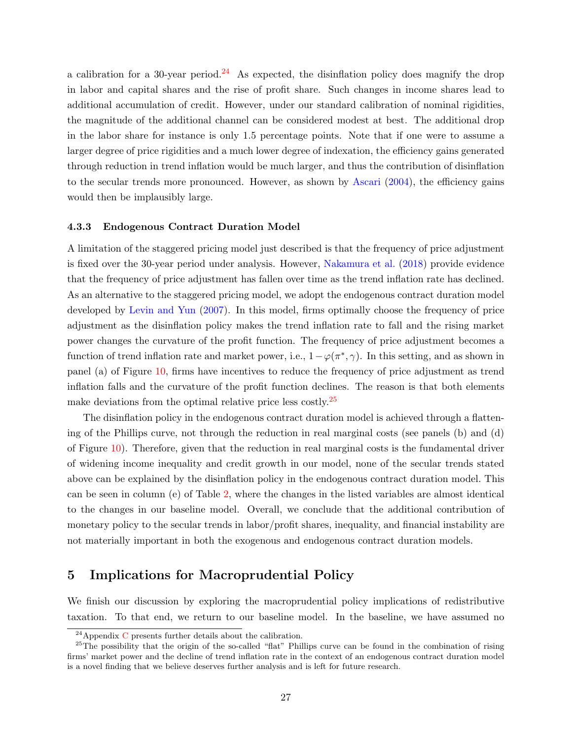a calibration for a 30-year period.<sup>[24](#page-1-0)</sup> As expected, the disinflation policy does magnify the drop in labor and capital shares and the rise of profit share. Such changes in income shares lead to additional accumulation of credit. However, under our standard calibration of nominal rigidities, the magnitude of the additional channel can be considered modest at best. The additional drop in the labor share for instance is only 1.5 percentage points. Note that if one were to assume a larger degree of price rigidities and a much lower degree of indexation, the efficiency gains generated through reduction in trend inflation would be much larger, and thus the contribution of disinflation to the secular trends more pronounced. However, as shown by [Ascari](#page-31-11) [\(2004\)](#page-31-11), the efficiency gains would then be implausibly large.

#### 4.3.3 Endogenous Contract Duration Model

A limitation of the staggered pricing model just described is that the frequency of price adjustment is fixed over the 30-year period under analysis. However, [Nakamura et al.](#page-33-13) [\(2018\)](#page-33-13) provide evidence that the frequency of price adjustment has fallen over time as the trend inflation rate has declined. As an alternative to the staggered pricing model, we adopt the endogenous contract duration model developed by [Levin and Yun](#page-33-14) [\(2007\)](#page-33-14). In this model, firms optimally choose the frequency of price adjustment as the disinflation policy makes the trend inflation rate to fall and the rising market power changes the curvature of the profit function. The frequency of price adjustment becomes a function of trend inflation rate and market power, i.e.,  $1 - \varphi(\pi^*, \gamma)$ . In this setting, and as shown in panel (a) of Figure [10,](#page-27-1) firms have incentives to reduce the frequency of price adjustment as trend inflation falls and the curvature of the profit function declines. The reason is that both elements make deviations from the optimal relative price less costly.[25](#page-1-0)

The disinflation policy in the endogenous contract duration model is achieved through a flattening of the Phillips curve, not through the reduction in real marginal costs (see panels (b) and (d) of Figure [10\)](#page-27-1). Therefore, given that the reduction in real marginal costs is the fundamental driver of widening income inequality and credit growth in our model, none of the secular trends stated above can be explained by the disinflation policy in the endogenous contract duration model. This can be seen in column (e) of Table [2,](#page-22-0) where the changes in the listed variables are almost identical to the changes in our baseline model. Overall, we conclude that the additional contribution of monetary policy to the secular trends in labor/profit shares, inequality, and financial instability are not materially important in both the exogenous and endogenous contract duration models.

### <span id="page-28-0"></span>5 Implications for Macroprudential Policy

We finish our discussion by exploring the macroprudential policy implications of redistributive taxation. To that end, we return to our baseline model. In the baseline, we have assumed no

<sup>&</sup>lt;sup>24</sup>Appendix [C](#page-36-2) presents further details about the calibration.

 $25$ The possibility that the origin of the so-called "flat" Phillips curve can be found in the combination of rising firms' market power and the decline of trend inflation rate in the context of an endogenous contract duration model is a novel finding that we believe deserves further analysis and is left for future research.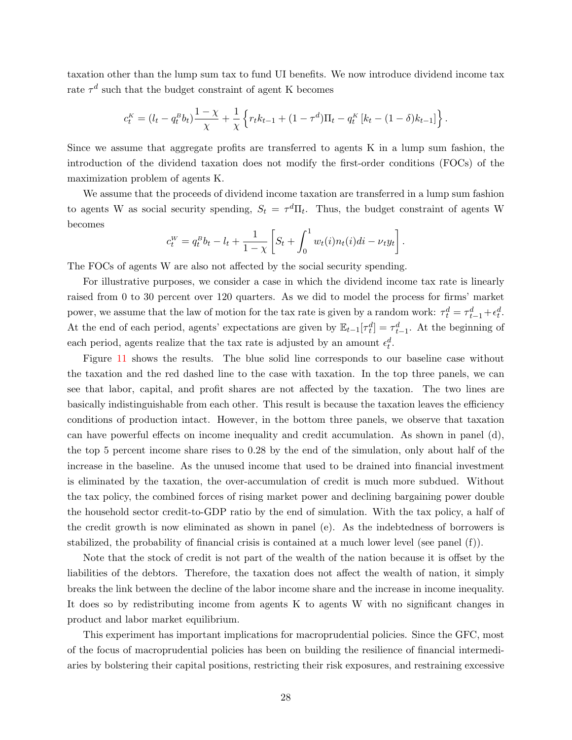taxation other than the lump sum tax to fund UI benefits. We now introduce dividend income tax rate  $\tau^d$  such that the budget constraint of agent K becomes

$$
c_t^K = (l_t - q_t^K b_t) \frac{1 - \chi}{\chi} + \frac{1}{\chi} \left\{ r_t k_{t-1} + (1 - \tau^d) \Pi_t - q_t^K \left[ k_t - (1 - \delta) k_{t-1} \right] \right\}.
$$

Since we assume that aggregate profits are transferred to agents K in a lump sum fashion, the introduction of the dividend taxation does not modify the first-order conditions (FOCs) of the maximization problem of agents K.

We assume that the proceeds of dividend income taxation are transferred in a lump sum fashion to agents W as social security spending,  $S_t = \tau^d \Pi_t$ . Thus, the budget constraint of agents W becomes

$$
c_t^W = q_t^B b_t - l_t + \frac{1}{1 - \chi} \left[ S_t + \int_0^1 w_t(i) n_t(i) di - \nu_t y_t \right].
$$

The FOCs of agents W are also not affected by the social security spending.

For illustrative purposes, we consider a case in which the dividend income tax rate is linearly raised from 0 to 30 percent over 120 quarters. As we did to model the process for firms' market power, we assume that the law of motion for the tax rate is given by a random work:  $\tau_t^d = \tau_{t-1}^d + \epsilon_t^d$ . At the end of each period, agents' expectations are given by  $\mathbb{E}_{t-1}[\tau_t^d] = \tau_{t-1}^d$ . At the beginning of each period, agents realize that the tax rate is adjusted by an amount  $\epsilon_t^d$ .

Figure [11](#page-30-1) shows the results. The blue solid line corresponds to our baseline case without the taxation and the red dashed line to the case with taxation. In the top three panels, we can see that labor, capital, and profit shares are not affected by the taxation. The two lines are basically indistinguishable from each other. This result is because the taxation leaves the efficiency conditions of production intact. However, in the bottom three panels, we observe that taxation can have powerful effects on income inequality and credit accumulation. As shown in panel (d), the top 5 percent income share rises to 0.28 by the end of the simulation, only about half of the increase in the baseline. As the unused income that used to be drained into financial investment is eliminated by the taxation, the over-accumulation of credit is much more subdued. Without the tax policy, the combined forces of rising market power and declining bargaining power double the household sector credit-to-GDP ratio by the end of simulation. With the tax policy, a half of the credit growth is now eliminated as shown in panel (e). As the indebtedness of borrowers is stabilized, the probability of financial crisis is contained at a much lower level (see panel (f)).

Note that the stock of credit is not part of the wealth of the nation because it is offset by the liabilities of the debtors. Therefore, the taxation does not affect the wealth of nation, it simply breaks the link between the decline of the labor income share and the increase in income inequality. It does so by redistributing income from agents K to agents W with no significant changes in product and labor market equilibrium.

This experiment has important implications for macroprudential policies. Since the GFC, most of the focus of macroprudential policies has been on building the resilience of financial intermediaries by bolstering their capital positions, restricting their risk exposures, and restraining excessive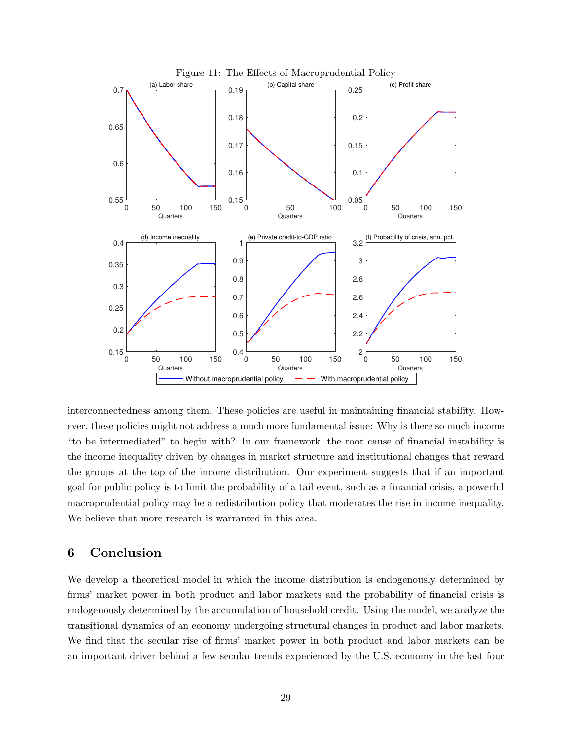<span id="page-30-1"></span>

interconnectedness among them. These policies are useful in maintaining financial stability. However, these policies might not address a much more fundamental issue: Why is there so much income "to be intermediated" to begin with? In our framework, the root cause of financial instability is the income inequality driven by changes in market structure and institutional changes that reward the groups at the top of the income distribution. Our experiment suggests that if an important goal for public policy is to limit the probability of a tail event, such as a financial crisis, a powerful macroprudential policy may be a redistribution policy that moderates the rise in income inequality. We believe that more research is warranted in this area.

### <span id="page-30-0"></span>6 Conclusion

We develop a theoretical model in which the income distribution is endogenously determined by firms' market power in both product and labor markets and the probability of financial crisis is endogenously determined by the accumulation of household credit. Using the model, we analyze the transitional dynamics of an economy undergoing structural changes in product and labor markets. We find that the secular rise of firms' market power in both product and labor markets can be an important driver behind a few secular trends experienced by the U.S. economy in the last four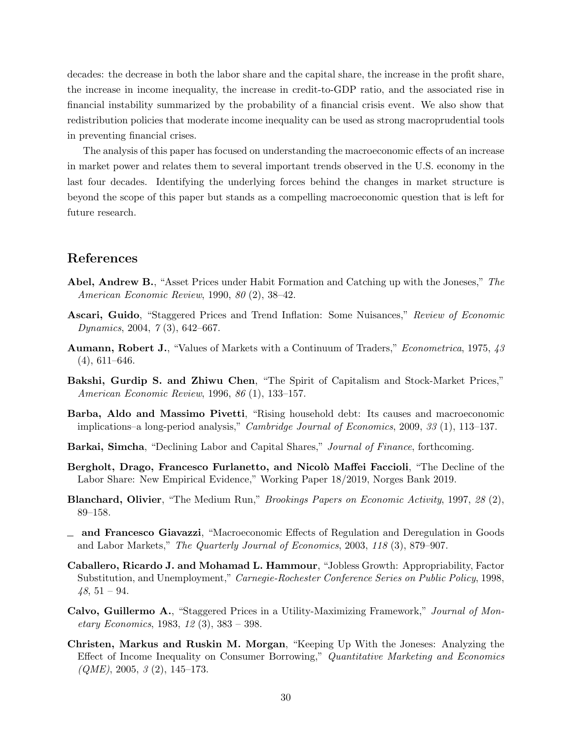decades: the decrease in both the labor share and the capital share, the increase in the profit share, the increase in income inequality, the increase in credit-to-GDP ratio, and the associated rise in financial instability summarized by the probability of a financial crisis event. We also show that redistribution policies that moderate income inequality can be used as strong macroprudential tools in preventing financial crises.

The analysis of this paper has focused on understanding the macroeconomic effects of an increase in market power and relates them to several important trends observed in the U.S. economy in the last four decades. Identifying the underlying forces behind the changes in market structure is beyond the scope of this paper but stands as a compelling macroeconomic question that is left for future research.

### References

- <span id="page-31-9"></span>Abel, Andrew B., "Asset Prices under Habit Formation and Catching up with the Joneses," The American Economic Review, 1990, 80 (2), 38–42.
- <span id="page-31-11"></span>Ascari, Guido, "Staggered Prices and Trend Inflation: Some Nuisances," Review of Economic Dynamics, 2004, 7 (3), 642–667.
- <span id="page-31-7"></span>Aumann, Robert J., "Values of Markets with a Continuum of Traders," Econometrica, 1975, 43  $(4), 611-646.$
- <span id="page-31-0"></span>Bakshi, Gurdip S. and Zhiwu Chen, "The Spirit of Capitalism and Stock-Market Prices," American Economic Review, 1996, 86 (1), 133–157.
- <span id="page-31-1"></span>Barba, Aldo and Massimo Pivetti, "Rising household debt: Its causes and macroeconomic implications–a long-period analysis," Cambridge Journal of Economics, 2009, 33 (1), 113–137.
- <span id="page-31-2"></span>Barkai, Simcha, "Declining Labor and Capital Shares," Journal of Finance, forthcoming.
- <span id="page-31-3"></span>Bergholt, Drago, Francesco Furlanetto, and Nicolò Maffei Faccioli, "The Decline of the Labor Share: New Empirical Evidence," Working Paper 18/2019, Norges Bank 2019.
- <span id="page-31-4"></span>Blanchard, Olivier, "The Medium Run," Brookings Papers on Economic Activity, 1997, 28 (2), 89–158.
- <span id="page-31-6"></span>and Francesco Giavazzi, "Macroeconomic Effects of Regulation and Deregulation in Goods and Labor Markets," The Quarterly Journal of Economics, 2003, 118 (3), 879–907.
- <span id="page-31-5"></span>Caballero, Ricardo J. and Mohamad L. Hammour, "Jobless Growth: Appropriability, Factor Substitution, and Unemployment," Carnegie-Rochester Conference Series on Public Policy, 1998,  $48, 51 - 94.$
- <span id="page-31-10"></span>Calvo, Guillermo A., "Staggered Prices in a Utility-Maximizing Framework," Journal of Monetary Economics, 1983, 12 (3), 383 – 398.
- <span id="page-31-8"></span>Christen, Markus and Ruskin M. Morgan, "Keeping Up With the Joneses: Analyzing the Effect of Income Inequality on Consumer Borrowing," Quantitative Marketing and Economics  $(QME)$ , 2005, 3 (2), 145–173.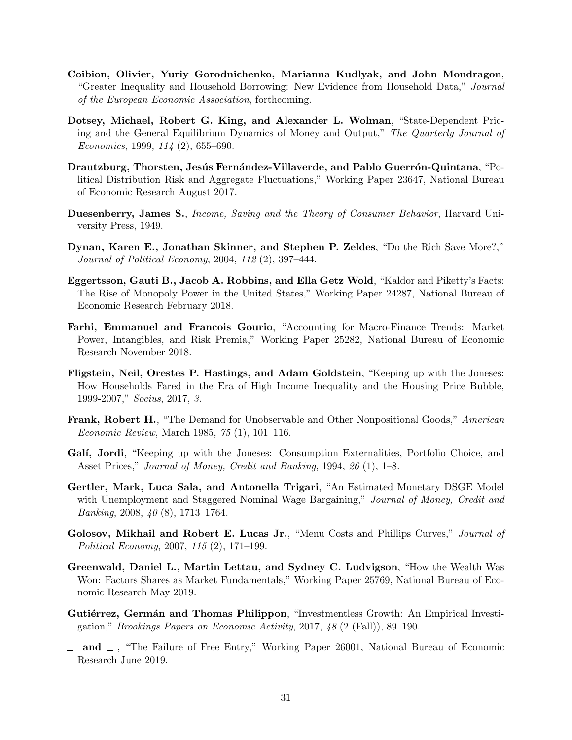- <span id="page-32-12"></span>Coibion, Olivier, Yuriy Gorodnichenko, Marianna Kudlyak, and John Mondragon, "Greater Inequality and Household Borrowing: New Evidence from Household Data," Journal of the European Economic Association, forthcoming.
- <span id="page-32-13"></span>Dotsey, Michael, Robert G. King, and Alexander L. Wolman, "State-Dependent Pricing and the General Equilibrium Dynamics of Money and Output," The Quarterly Journal of Economics, 1999, 114 (2), 655–690.
- <span id="page-32-8"></span>Drautzburg, Thorsten, Jesús Fernández-Villaverde, and Pablo Guerrón-Quintana, "Political Distribution Risk and Aggregate Fluctuations," Working Paper 23647, National Bureau of Economic Research August 2017.
- <span id="page-32-1"></span>Duesenberry, James S., *Income, Saving and the Theory of Consumer Behavior*, Harvard University Press, 1949.
- <span id="page-32-0"></span>Dynan, Karen E., Jonathan Skinner, and Stephen P. Zeldes, "Do the Rich Save More?," Journal of Political Economy, 2004, 112 (2), 397–444.
- <span id="page-32-3"></span>Eggertsson, Gauti B., Jacob A. Robbins, and Ella Getz Wold, "Kaldor and Piketty's Facts: The Rise of Monopoly Power in the United States," Working Paper 24287, National Bureau of Economic Research February 2018.
- <span id="page-32-5"></span>Farhi, Emmanuel and Francois Gourio, "Accounting for Macro-Finance Trends: Market Power, Intangibles, and Risk Premia," Working Paper 25282, National Bureau of Economic Research November 2018.
- <span id="page-32-10"></span>Fligstein, Neil, Orestes P. Hastings, and Adam Goldstein, "Keeping up with the Joneses: How Households Fared in the Era of High Income Inequality and the Housing Price Bubble, 1999-2007," Socius, 2017, 3.
- <span id="page-32-2"></span>**Frank, Robert H.**, "The Demand for Unobservable and Other Nonpositional Goods," American Economic Review, March 1985, 75 (1), 101–116.
- <span id="page-32-11"></span>Galí, Jordi, "Keeping up with the Joneses: Consumption Externalities, Portfolio Choice, and Asset Prices," Journal of Money, Credit and Banking, 1994, 26 (1), 1–8.
- <span id="page-32-7"></span>Gertler, Mark, Luca Sala, and Antonella Trigari, "An Estimated Monetary DSGE Model with Unemployment and Staggered Nominal Wage Bargaining," Journal of Money, Credit and Banking, 2008, 40 (8), 1713–1764.
- <span id="page-32-14"></span>Golosov, Mikhail and Robert E. Lucas Jr., "Menu Costs and Phillips Curves," Journal of Political Economy, 2007, 115 (2), 171–199.
- <span id="page-32-9"></span>Greenwald, Daniel L., Martin Lettau, and Sydney C. Ludvigson, "How the Wealth Was Won: Factors Shares as Market Fundamentals," Working Paper 25769, National Bureau of Economic Research May 2019.
- <span id="page-32-4"></span>Gutiérrez, Germán and Thomas Philippon, "Investmentless Growth: An Empirical Investigation," Brookings Papers on Economic Activity, 2017, 48 (2 (Fall)), 89–190.
- <span id="page-32-6"></span> $\Box$  and  $\Box$ , "The Failure of Free Entry," Working Paper 26001, National Bureau of Economic Research June 2019.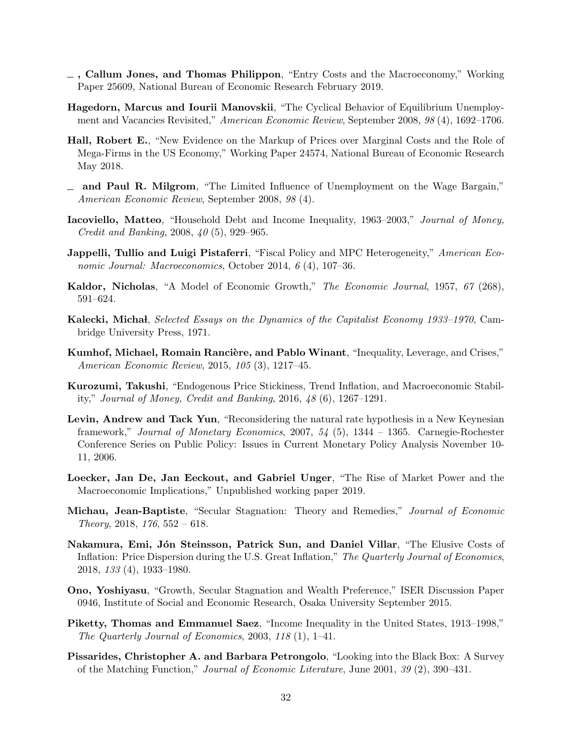- <span id="page-33-7"></span>, Callum Jones, and Thomas Philippon, "Entry Costs and the Macroeconomy," Working Paper 25609, National Bureau of Economic Research February 2019.
- <span id="page-33-12"></span>Hagedorn, Marcus and Iourii Manovskii, "The Cyclical Behavior of Equilibrium Unemployment and Vacancies Revisited," American Economic Review, September 2008, 98 (4), 1692–1706.
- <span id="page-33-4"></span>Hall, Robert E., "New Evidence on the Markup of Prices over Marginal Costs and the Role of Mega-Firms in the US Economy," Working Paper 24574, National Bureau of Economic Research May 2018.
- <span id="page-33-11"></span>and Paul R. Milgrom, "The Limited Influence of Unemployment on the Wage Bargain," American Economic Review, September 2008, 98 (4).
- <span id="page-33-6"></span>Iacoviello, Matteo, "Household Debt and Income Inequality, 1963–2003," Journal of Money, Credit and Banking, 2008, 40 (5), 929–965.
- <span id="page-33-1"></span>**Jappelli, Tullio and Luigi Pistaferri,** "Fiscal Policy and MPC Heterogeneity," *American Eco*nomic Journal: Macroeconomics, October 2014, 6 (4), 107–36.
- <span id="page-33-2"></span>Kaldor, Nicholas, "A Model of Economic Growth," The Economic Journal, 1957, 67 (268), 591–624.
- <span id="page-33-0"></span>Kalecki, Michał, Selected Essays on the Dynamics of the Capitalist Economy 1933–1970, Cambridge University Press, 1971.
- <span id="page-33-3"></span>Kumhof, Michael, Romain Rancière, and Pablo Winant, "Inequality, Leverage, and Crises," American Economic Review, 2015, 105 (3), 1217–45.
- <span id="page-33-16"></span>Kurozumi, Takushi, "Endogenous Price Stickiness, Trend Inflation, and Macroeconomic Stability," Journal of Money, Credit and Banking, 2016, 48 (6), 1267–1291.
- <span id="page-33-14"></span>Levin, Andrew and Tack Yun, "Reconsidering the natural rate hypothesis in a New Keynesian framework," Journal of Monetary Economics, 2007, 54 (5), 1344 – 1365. Carnegie-Rochester Conference Series on Public Policy: Issues in Current Monetary Policy Analysis November 10- 11, 2006.
- <span id="page-33-5"></span>Loecker, Jan De, Jan Eeckout, and Gabriel Unger, "The Rise of Market Power and the Macroeconomic Implications," Unpublished working paper 2019.
- <span id="page-33-9"></span>Michau, Jean-Baptiste, "Secular Stagnation: Theory and Remedies," Journal of Economic Theory, 2018,  $176, 552 - 618$ .
- <span id="page-33-13"></span>Nakamura, Emi, Jón Steinsson, Patrick Sun, and Daniel Villar, "The Elusive Costs of Inflation: Price Dispersion during the U.S. Great Inflation," The Quarterly Journal of Economics, 2018, 133 (4), 1933–1980.
- <span id="page-33-8"></span>Ono, Yoshiyasu, "Growth, Secular Stagnation and Wealth Preference," ISER Discussion Paper 0946, Institute of Social and Economic Research, Osaka University September 2015.
- <span id="page-33-15"></span>Piketty, Thomas and Emmanuel Saez, "Income Inequality in the United States, 1913–1998," The Quarterly Journal of Economics, 2003, 118 (1), 1–41.
- <span id="page-33-10"></span>Pissarides, Christopher A. and Barbara Petrongolo, "Looking into the Black Box: A Survey of the Matching Function," Journal of Economic Literature, June 2001, 39 (2), 390–431.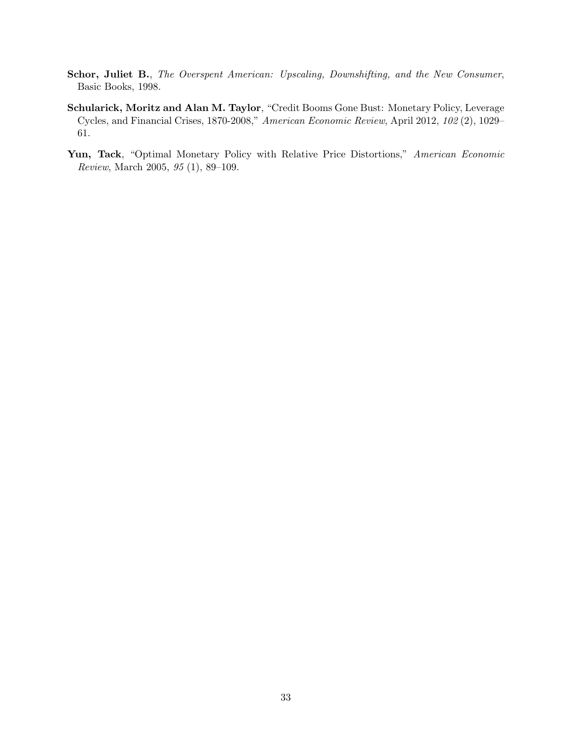- <span id="page-34-1"></span>Schor, Juliet B., The Overspent American: Upscaling, Downshifting, and the New Consumer, Basic Books, 1998.
- <span id="page-34-0"></span>Schularick, Moritz and Alan M. Taylor, "Credit Booms Gone Bust: Monetary Policy, Leverage Cycles, and Financial Crises, 1870-2008," American Economic Review, April 2012, 102 (2), 1029– 61.
- <span id="page-34-2"></span>Yun, Tack, "Optimal Monetary Policy with Relative Price Distortions," American Economic Review, March 2005, 95 (1), 89–109.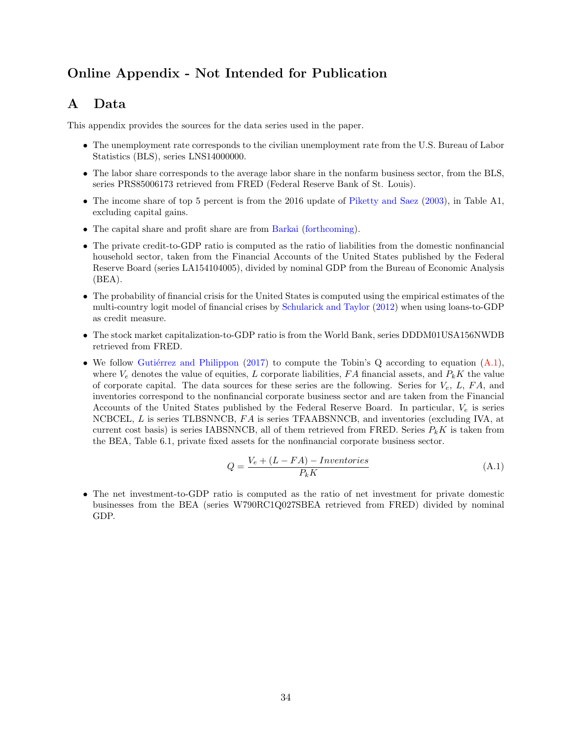# Online Appendix - Not Intended for Publication

# <span id="page-35-0"></span>A Data

This appendix provides the sources for the data series used in the paper.

- The unemployment rate corresponds to the civilian unemployment rate from the U.S. Bureau of Labor Statistics (BLS), series LNS14000000.
- The labor share corresponds to the average labor share in the nonfarm business sector, from the BLS, series PRS85006173 retrieved from FRED (Federal Reserve Bank of St. Louis).
- The income share of top 5 percent is from the 2016 update of [Piketty and Saez](#page-33-15) [\(2003\)](#page-33-15), in Table A1, excluding capital gains.
- The capital share and profit share are from [Barkai](#page-31-2) [\(forthcoming\)](#page-31-2).
- The private credit-to-GDP ratio is computed as the ratio of liabilities from the domestic nonfinancial household sector, taken from the Financial Accounts of the United States published by the Federal Reserve Board (series LA154104005), divided by nominal GDP from the Bureau of Economic Analysis  $(BEA)$ .
- The probability of financial crisis for the United States is computed using the empirical estimates of the multi-country logit model of financial crises by [Schularick and Taylor](#page-34-0) [\(2012\)](#page-34-0) when using loans-to-GDP as credit measure.
- The stock market capitalization-to-GDP ratio is from the World Bank, series DDDM01USA156NWDB retrieved from FRED.
- We follow Gutiérrez and Philippon [\(2017\)](#page-32-4) to compute the Tobin's Q according to equation  $(A.1)$ , where  $V_e$  denotes the value of equities, L corporate liabilities, FA financial assets, and  $P_kK$  the value of corporate capital. The data sources for these series are the following. Series for  $V_e$ , L, FA, and inventories correspond to the nonfinancial corporate business sector and are taken from the Financial Accounts of the United States published by the Federal Reserve Board. In particular,  $V_e$  is series NCBCEL, L is series TLBSNNCB, FA is series TFAABSNNCB, and inventories (excluding IVA, at current cost basis) is series IABSNNCB, all of them retrieved from FRED. Series  $P_k K$  is taken from the BEA, Table 6.1, private fixed assets for the nonfinancial corporate business sector.

<span id="page-35-1"></span>
$$
Q = \frac{V_e + (L - FA) - Inventories}{P_k K}
$$
\n(A.1)

• The net investment-to-GDP ratio is computed as the ratio of net investment for private domestic businesses from the BEA (series W790RC1Q027SBEA retrieved from FRED) divided by nominal GDP.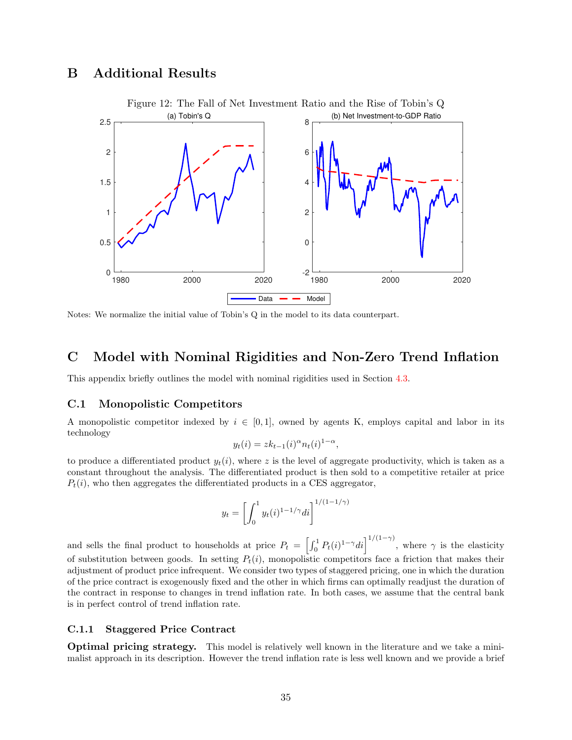### <span id="page-36-1"></span>B Additional Results

<span id="page-36-0"></span>

Notes: We normalize the initial value of Tobin's Q in the model to its data counterpart.

### <span id="page-36-2"></span>C Model with Nominal Rigidities and Non-Zero Trend Inflation

This appendix briefly outlines the model with nominal rigidities used in Section [4.3.](#page-24-0)

#### C.1 Monopolistic Competitors

A monopolistic competitor indexed by  $i \in [0,1]$ , owned by agents K, employs capital and labor in its technology

$$
y_t(i) = zk_{t-1}(i)^{\alpha} n_t(i)^{1-\alpha},
$$

to produce a differentiated product  $y_t(i)$ , where z is the level of aggregate productivity, which is taken as a constant throughout the analysis. The differentiated product is then sold to a competitive retailer at price  $P_t(i)$ , who then aggregates the differentiated products in a CES aggregator,

$$
y_t = \left[\int_0^1 y_t(i)^{1-1/\gamma} di\right]^{1/(1-1/\gamma)}
$$

and sells the final product to households at price  $P_t = \left[\int_0^1 P_t(i)^{1-\gamma} di\right]^{1/(1-\gamma)}$ , where  $\gamma$  is the elasticity of substitution between goods. In setting  $P_t(i)$ , monopolistic competitors face a friction that makes their adjustment of product price infrequent. We consider two types of staggered pricing, one in which the duration of the price contract is exogenously fixed and the other in which firms can optimally readjust the duration of the contract in response to changes in trend inflation rate. In both cases, we assume that the central bank is in perfect control of trend inflation rate.

#### C.1.1 Staggered Price Contract

Optimal pricing strategy. This model is relatively well known in the literature and we take a minimalist approach in its description. However the trend inflation rate is less well known and we provide a brief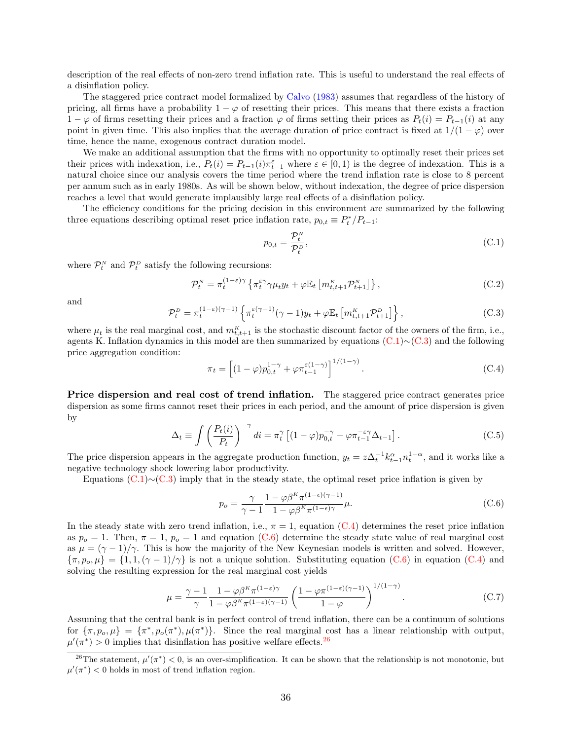description of the real effects of non-zero trend inflation rate. This is useful to understand the real effects of a disinflation policy.

The staggered price contract model formalized by [Calvo](#page-31-10) [\(1983\)](#page-31-10) assumes that regardless of the history of pricing, all firms have a probability  $1 - \varphi$  of resetting their prices. This means that there exists a fraction  $1 - \varphi$  of firms resetting their prices and a fraction  $\varphi$  of firms setting their prices as  $P_t(i) = P_{t-1}(i)$  at any point in given time. This also implies that the average duration of price contract is fixed at  $1/(1 - \varphi)$  over time, hence the name, exogenous contract duration model.

We make an additional assumption that the firms with no opportunity to optimally reset their prices set their prices with indexation, i.e.,  $P_t(i) = P_{t-1}(i)\pi_{t-1}^{\varepsilon}$  where  $\varepsilon \in [0,1)$  is the degree of indexation. This is a natural choice since our analysis covers the time period where the trend inflation rate is close to 8 percent per annum such as in early 1980s. As will be shown below, without indexation, the degree of price dispersion reaches a level that would generate implausibly large real effects of a disinflation policy.

The efficiency conditions for the pricing decision in this environment are summarized by the following three equations describing optimal reset price inflation rate,  $p_{0,t} \equiv P_t^* / P_{t-1}$ :

<span id="page-37-0"></span>
$$
p_{0,t} = \frac{\mathcal{P}_t^N}{\mathcal{P}_t^D},\tag{C.1}
$$

where  $\mathcal{P}_t^N$  and  $\mathcal{P}_t^D$  satisfy the following recursions:

$$
\mathcal{P}_t^N = \pi_t^{(1-\varepsilon)\gamma} \left\{ \pi_t^{\varepsilon\gamma} \gamma \mu_t y_t + \varphi \mathbb{E}_t \left[ m_{t,t+1}^K \mathcal{P}_{t+1}^N \right] \right\},\tag{C.2}
$$

<span id="page-37-1"></span>and

$$
\mathcal{P}_t^D = \pi_t^{(1-\varepsilon)(\gamma-1)} \left\{ \pi_t^{\varepsilon(\gamma-1)}(\gamma-1)y_t + \varphi \mathbb{E}_t \left[ m_{t,t+1}^K \mathcal{P}_{t+1}^D \right] \right\},\tag{C.3}
$$

where  $\mu_t$  is the real marginal cost, and  $m_{t,t+1}^K$  is the stochastic discount factor of the owners of the firm, i.e., agents K. Inflation dynamics in this model are then summarized by equations [\(C.1\)](#page-37-0)∼[\(C.3\)](#page-37-1) and the following price aggregation condition:

<span id="page-37-2"></span>
$$
\pi_t = \left[ (1 - \varphi) p_{0,t}^{1 - \gamma} + \varphi \pi_{t-1}^{\varepsilon (1 - \gamma)} \right]^{1/(1 - \gamma)}.
$$
 (C.4)

<span id="page-37-4"></span>Price dispersion and real cost of trend inflation. The staggered price contract generates price dispersion as some firms cannot reset their prices in each period, and the amount of price dispersion is given by

$$
\Delta_t \equiv \int \left(\frac{P_t(i)}{P_t}\right)^{-\gamma} di = \pi_t^{\gamma} \left[ (1 - \varphi) p_{0,t}^{-\gamma} + \varphi \pi_{t-1}^{-\varepsilon\gamma} \Delta_{t-1} \right]. \tag{C.5}
$$

The price dispersion appears in the aggregate production function,  $y_t = z\Delta_t^{-1} k_{t-1}^{\alpha} n_t^{1-\alpha}$ , and it works like a negative technology shock lowering labor productivity.

Equations [\(C.1\)](#page-37-0)∼[\(C.3\)](#page-37-1) imply that in the steady state, the optimal reset price inflation is given by

<span id="page-37-3"></span>
$$
p_o = \frac{\gamma}{\gamma - 1} \frac{1 - \varphi \beta^K \pi^{(1 - \epsilon)(\gamma - 1)}}{1 - \varphi \beta^K \pi^{(1 - \epsilon)\gamma}} \mu.
$$
 (C.6)

In the steady state with zero trend inflation, i.e.,  $\pi = 1$ , equation [\(C.4\)](#page-37-2) determines the reset price inflation as  $p_o = 1$ . Then,  $\pi = 1$ ,  $p_o = 1$  and equation [\(C.6\)](#page-37-3) determine the steady state value of real marginal cost as  $\mu = (\gamma - 1)/\gamma$ . This is how the majority of the New Keynesian models is written and solved. However,  ${\lbrace \pi, p_o, \mu \rbrace} = {\lbrace 1, 1, (\gamma - 1)/\gamma \rbrace}$  is not a unique solution. Substituting equation [\(C.6\)](#page-37-3) in equation [\(C.4\)](#page-37-2) and solving the resulting expression for the real marginal cost yields

$$
\mu = \frac{\gamma - 1}{\gamma} \frac{1 - \varphi \beta^K \pi^{(1-\varepsilon)\gamma}}{1 - \varphi \beta^K \pi^{(1-\varepsilon)(\gamma-1)}} \left( \frac{1 - \varphi \pi^{(1-\varepsilon)(\gamma-1)}}{1 - \varphi} \right)^{1/(1-\gamma)}.
$$
 (C.7)

Assuming that the central bank is in perfect control of trend inflation, there can be a continuum of solutions for  $\{\pi, p_o, \mu\} = \{\pi^*, p_o(\pi^*), \mu(\pi^*)\}.$  Since the real marginal cost has a linear relationship with output,  $\mu'(\pi^*) > 0$  implies that disinflation has positive welfare effects.<sup>[26](#page-1-0)</sup>

<sup>&</sup>lt;sup>26</sup>The statement,  $\mu'(\pi^*) < 0$ , is an over-simplification. It can be shown that the relationship is not monotonic, but  $\mu'(\pi^*)$  < 0 holds in most of trend inflation region.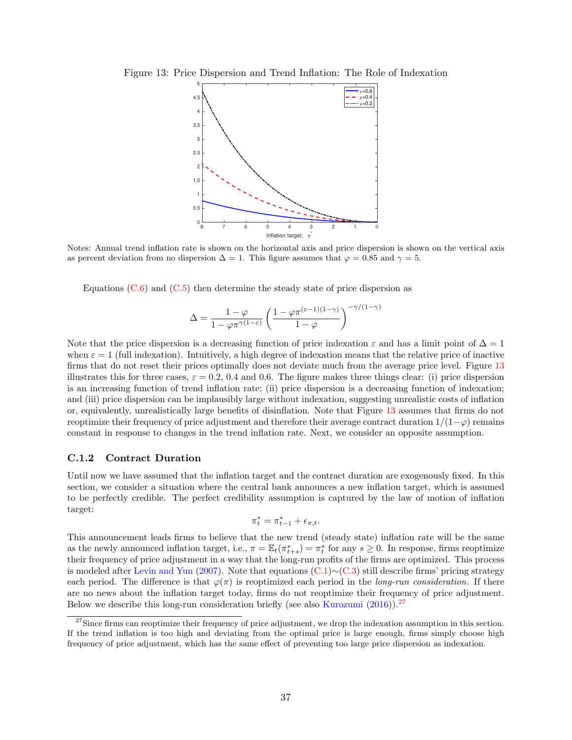<span id="page-38-0"></span>Figure 13: Price Dispersion and Trend Inflation: The Role of Indexation



Notes: Annual trend inflation rate is shown on the horizontal axis and price dispersion is shown on the vertical axis as percent deviation from no dispersion  $\Delta = 1$ . This figure assumes that  $\varphi = 0.85$  and  $\gamma = 5$ .

Equations  $(C.6)$  and  $(C.5)$  then determine the steady state of price dispersion as

$$
\Delta = \frac{1 - \varphi}{1 - \varphi \pi^{\gamma(1-\varepsilon)}} \left( \frac{1 - \varphi \pi^{(\varepsilon-1)(1-\gamma)}}{1 - \varphi} \right)^{-\gamma/(1-\gamma)}
$$

Note that the price dispersion is a decreasing function of price indexation  $\varepsilon$  and has a limit point of  $\Delta = 1$ when  $\varepsilon = 1$  (full indexation). Intuitively, a high degree of indexation means that the relative price of inactive firms that do not reset their prices optimally does not deviate much from the average price level. Figure [13](#page-38-0) illustrates this for three cases,  $\varepsilon = 0.2, 0.4$  and 0.6. The figure makes three things clear: (i) price dispersion is an increasing function of trend inflation rate; (ii) price dispersion is a decreasing function of indexation; and (iii) price dispersion can be implausibly large without indexation, suggesting unrealistic costs of inflation or, equivalently, unrealistically large benefits of disinflation. Note that Figure [13](#page-38-0) assumes that firms do not reoptimize their frequency of price adjustment and therefore their average contract duration  $1/(1-\varphi)$  remains constant in response to changes in the trend inflation rate. Next, we consider an opposite assumption.

#### C.1.2 Contract Duration

Until now we have assumed that the inflation target and the contract duration are exogenously fixed. In this section, we consider a situation where the central bank announces a new inflation target, which is assumed to be perfectly credible. The perfect credibility assumption is captured by the law of motion of inflation target:

$$
\pi_t^* = \pi_{t-1}^* + \epsilon_{\pi,t}.
$$

This announcement leads firms to believe that the new trend (steady state) inflation rate will be the same as the newly announced inflation target, i.e.,  $\pi = \mathbb{E}_t(\pi_{t+s}^*) = \pi_t^*$  for any  $s \geq 0$ . In response, firms reoptimize their frequency of price adjustment in a way that the long-run profits of the firms are optimized. This process is modeled after [Levin and Yun](#page-33-14) [\(2007\)](#page-33-14). Note that equations [\(C.1\)](#page-37-0)∼[\(C.3\)](#page-37-1) still describe firms' pricing strategy each period. The difference is that  $\varphi(\pi)$  is reoptimized each period in the *long-run consideration*. If there are no news about the inflation target today, firms do not reoptimize their frequency of price adjustment. Below we describe this long-run consideration briefly (see also [Kurozumi](#page-33-16)  $(2016)$ ).<sup>[27](#page-1-0)</sup>

 $27$ Since firms can reoptimize their frequency of price adjustment, we drop the indexation assumption in this section. If the trend inflation is too high and deviating from the optimal price is large enough, firms simply choose high frequency of price adjustment, which has the same effect of preventing too large price dispersion as indexation.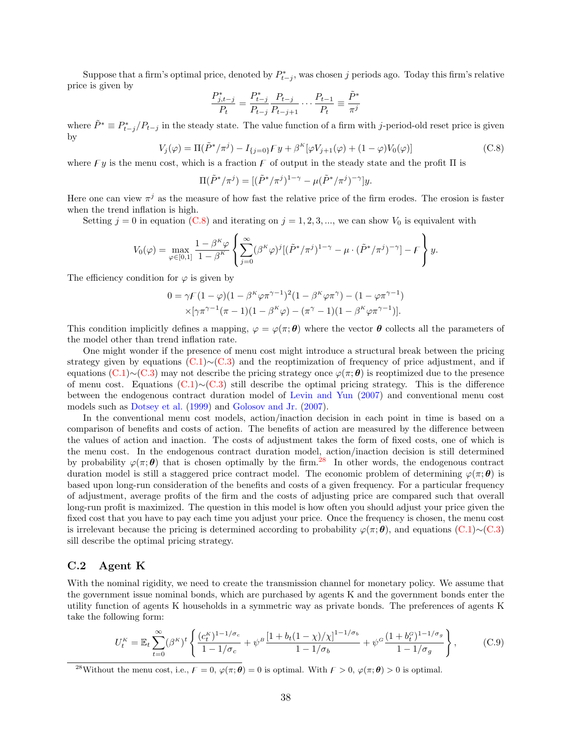Suppose that a firm's optimal price, denoted by  $P_{t-j}^*$ , was chosen j periods ago. Today this firm's relative price is given by

$$
\frac{P^*_{j,t-j}}{P_t} = \frac{P^*_{t-j}}{P_{t-j}} \frac{P_{t-j}}{P_{t-j+1}} \cdot \cdot \cdot \frac{P_{t-1}}{P_t} \equiv \frac{\tilde{P}^*}{\pi^j}
$$

<span id="page-39-0"></span>where  $\tilde{P}^* \equiv P_{t-j}^*/P_{t-j}$  in the steady state. The value function of a firm with j-period-old reset price is given by

$$
V_j(\varphi) = \Pi(\tilde{P}^*/\pi^j) - I_{\{j=0\}} F y + \beta^K[\varphi V_{j+1}(\varphi) + (1-\varphi)V_0(\varphi)]
$$
\n(C.8)

where  $F y$  is the menu cost, which is a fraction  $F$  of output in the steady state and the profit  $\Pi$  is

$$
\Pi(\tilde{P}^*/\pi^j)=[(\tilde{P}^*/\pi^j)^{1-\gamma}-\mu(\tilde{P}^*/\pi^j)^{-\gamma}]y.
$$

Here one can view  $\pi^{j}$  as the measure of how fast the relative price of the firm erodes. The erosion is faster when the trend inflation is high.

Setting  $j = 0$  in equation [\(C.8\)](#page-39-0) and iterating on  $j = 1, 2, 3, ...$ , we can show  $V_0$  is equivalent with

$$
V_0(\varphi) = \max_{\varphi \in [0,1]} \frac{1 - \beta^{\kappa} \varphi}{1 - \beta^{\kappa}} \left\{ \sum_{j=0}^{\infty} (\beta^{\kappa} \varphi)^j [(\tilde{P}^*/\pi^j)^{1-\gamma} - \mu \cdot (\tilde{P}^*/\pi^j)^{-\gamma}] - \mathcal{F} \right\} y.
$$

The efficiency condition for  $\varphi$  is given by

$$
0 = \gamma F (1 - \varphi)(1 - \beta^{\kappa} \varphi \pi^{\gamma - 1})^2 (1 - \beta^{\kappa} \varphi \pi^{\gamma}) - (1 - \varphi \pi^{\gamma - 1})
$$
  
 
$$
\times [\gamma \pi^{\gamma - 1} (\pi - 1)(1 - \beta^{\kappa} \varphi) - (\pi^{\gamma} - 1)(1 - \beta^{\kappa} \varphi \pi^{\gamma - 1})].
$$

This condition implicitly defines a mapping,  $\varphi = \varphi(\pi; \theta)$  where the vector  $\theta$  collects all the parameters of the model other than trend inflation rate.

One might wonder if the presence of menu cost might introduce a structural break between the pricing strategy given by equations [\(C.1\)](#page-37-0)∼[\(C.3\)](#page-37-1) and the reoptimization of frequency of price adjustment, and if equations [\(C.1\)](#page-37-0)∼[\(C.3\)](#page-37-1) may not describe the pricing strategy once  $\varphi(\pi;\theta)$  is reoptimized due to the presence of menu cost. Equations [\(C.1\)](#page-37-0)∼[\(C.3\)](#page-37-1) still describe the optimal pricing strategy. This is the difference between the endogenous contract duration model of [Levin and Yun](#page-33-14) [\(2007\)](#page-33-14) and conventional menu cost models such as [Dotsey et al.](#page-32-13) [\(1999\)](#page-32-13) and [Golosov and Jr.](#page-32-14) [\(2007\)](#page-32-14).

In the conventional menu cost models, action/inaction decision in each point in time is based on a comparison of benefits and costs of action. The benefits of action are measured by the difference between the values of action and inaction. The costs of adjustment takes the form of fixed costs, one of which is the menu cost. In the endogenous contract duration model, action/inaction decision is still determined by probability  $\varphi(\pi;\theta)$  that is chosen optimally by the firm.<sup>[28](#page-1-0)</sup> In other words, the endogenous contract duration model is still a staggered price contract model. The economic problem of determining  $\varphi(\pi;\theta)$  is based upon long-run consideration of the benefits and costs of a given frequency. For a particular frequency of adjustment, average profits of the firm and the costs of adjusting price are compared such that overall long-run profit is maximized. The question in this model is how often you should adjust your price given the fixed cost that you have to pay each time you adjust your price. Once the frequency is chosen, the menu cost is irrelevant because the pricing is determined according to probability  $\varphi(\pi;\theta)$ , and equations [\(C.1\)](#page-37-0)∼[\(C.3\)](#page-37-1) sill describe the optimal pricing strategy.

#### C.2 Agent K

With the nominal rigidity, we need to create the transmission channel for monetary policy. We assume that the government issue nominal bonds, which are purchased by agents K and the government bonds enter the utility function of agents K households in a symmetric way as private bonds. The preferences of agents K take the following form:

<span id="page-39-1"></span>
$$
U_t^K = \mathbb{E}_t \sum_{t=0}^{\infty} (\beta^K)^t \left\{ \frac{(c_t^K)^{1-1/\sigma_c}}{1-1/\sigma_c} + \psi^B \frac{\left[1+b_t(1-\chi)/\chi\right]^{1-1/\sigma_b}}{1-1/\sigma_b} + \psi^G \frac{(1+b_t^G)^{1-1/\sigma_g}}{1-1/\sigma_g} \right\},
$$
(C.9)

<sup>28</sup>Without the menu cost, i.e.,  $\vec{F} = 0$ ,  $\varphi(\pi;\theta) = 0$  is optimal. With  $\vec{F} > 0$ ,  $\varphi(\pi;\theta) > 0$  is optimal.